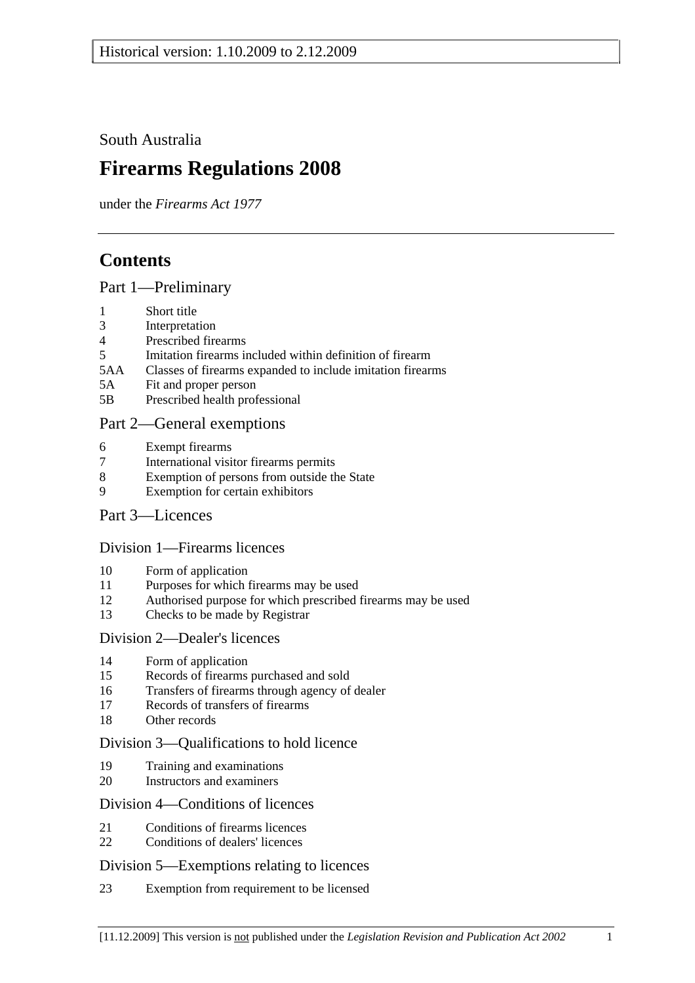South Australia

# **Firearms Regulations 2008**

under the *Firearms Act 1977*

# **Contents**

## Part 1—Preliminary

- 1 Short title
- 3 Interpretation
- 4 Prescribed firearms
- 5 Imitation firearms included within definition of firearm
- 5AA Classes of firearms expanded to include imitation firearms
- 5A Fit and proper person
- 5B Prescribed health professional

## Part 2—General exemptions

- 6 Exempt firearms
- 7 International visitor firearms permits
- 8 Exemption of persons from outside the State
- 9 Exemption for certain exhibitors
- Part 3—Licences

## Division 1—Firearms licences

- 10 Form of application
- 11 Purposes for which firearms may be used
- 12 Authorised purpose for which prescribed firearms may be used
- 13 Checks to be made by Registrar

## Division 2—Dealer's licences

- 14 Form of application
- 15 Records of firearms purchased and sold
- 16 Transfers of firearms through agency of dealer
- 17 Records of transfers of firearms
- 18 Other records

## Division 3—Qualifications to hold licence

- 19 Training and examinations
- 20 Instructors and examiners

## Division 4—Conditions of licences

- 21 Conditions of firearms licences
- 22 Conditions of dealers' licences

## Division 5—Exemptions relating to licences

23 Exemption from requirement to be licensed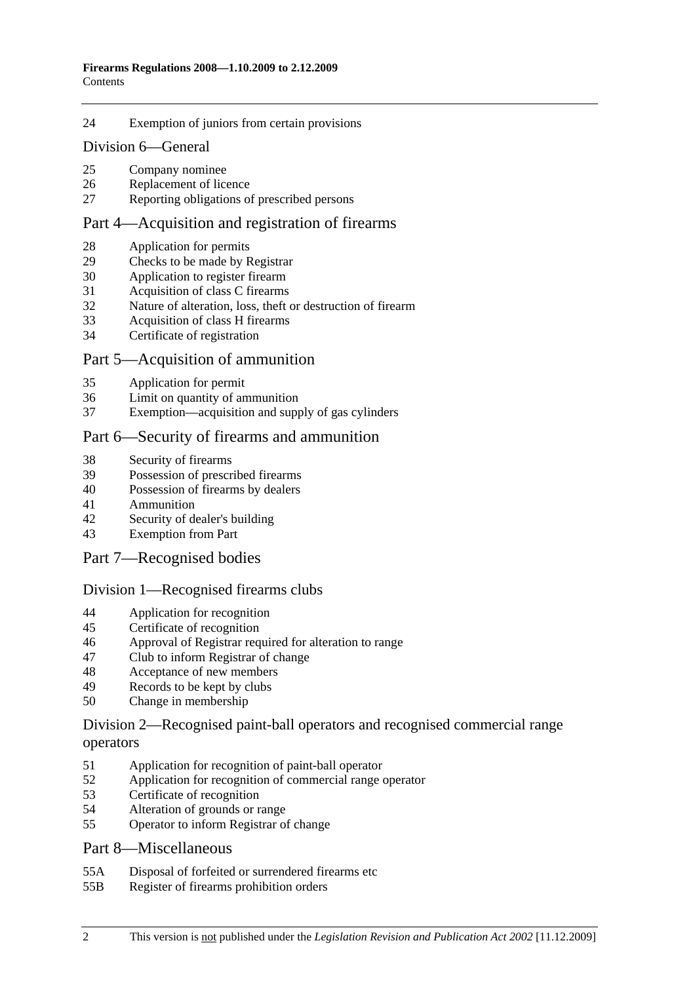#### 24 Exemption of juniors from certain provisions

#### Division 6—General

- 25 Company nominee
- 26 Replacement of licence
- 27 Reporting obligations of prescribed persons

### Part 4—Acquisition and registration of firearms

- 28 Application for permits
- 29 Checks to be made by Registrar
- 30 Application to register firearm
- 31 Acquisition of class C firearms
- 32 Nature of alteration, loss, theft or destruction of firearm
- 33 Acquisition of class H firearms
- 34 Certificate of registration

#### Part 5—Acquisition of ammunition

- 35 Application for permit
- 36 Limit on quantity of ammunition
- 37 Exemption—acquisition and supply of gas cylinders

#### Part 6—Security of firearms and ammunition

- 38 Security of firearms
- 39 Possession of prescribed firearms
- 40 Possession of firearms by dealers
- 41 Ammunition
- 42 Security of dealer's building
- 43 Exemption from Part

#### Part 7—Recognised bodies

#### Division 1—Recognised firearms clubs

- 44 Application for recognition
- 45 Certificate of recognition
- 46 Approval of Registrar required for alteration to range
- 47 Club to inform Registrar of change
- 48 Acceptance of new members
- 49 Records to be kept by clubs
- 50 Change in membership

#### Division 2—Recognised paint-ball operators and recognised commercial range operators

- 51 Application for recognition of paint-ball operator
- 52 Application for recognition of commercial range operator
- 53 Certificate of recognition
- 54 Alteration of grounds or range
- 55 Operator to inform Registrar of change

#### Part 8—Miscellaneous

- 55A Disposal of forfeited or surrendered firearms etc
- 55B Register of firearms prohibition orders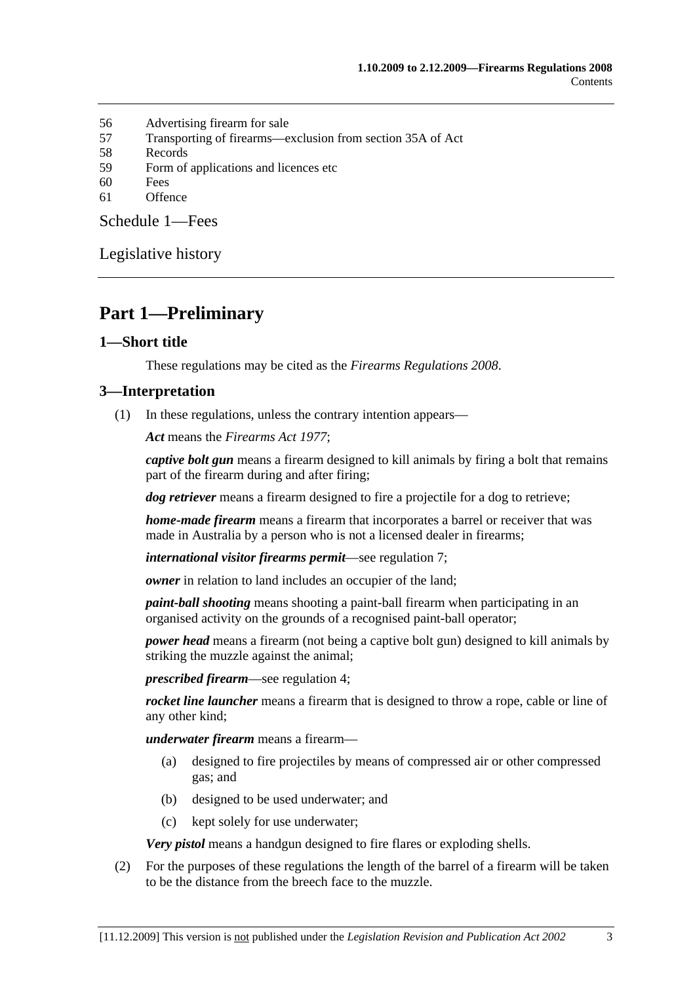- 56 Advertising firearm for sale
- 57 Transporting of firearms—exclusion from section 35A of Act
- 58 Records
- 59 Form of applications and licences etc
- 60 Fees
- 61 Offence

Schedule 1—Fees

Legislative history

# **Part 1—Preliminary**

### **1—Short title**

These regulations may be cited as the *Firearms Regulations 2008*.

#### **3—Interpretation**

(1) In these regulations, unless the contrary intention appears—

*Act* means the *Firearms Act 1977*;

*captive bolt gun* means a firearm designed to kill animals by firing a bolt that remains part of the firearm during and after firing;

*dog retriever* means a firearm designed to fire a projectile for a dog to retrieve;

*home-made firearm* means a firearm that incorporates a barrel or receiver that was made in Australia by a person who is not a licensed dealer in firearms;

*international visitor firearms permit*—see regulation 7;

*owner* in relation to land includes an occupier of the land;

*paint-ball shooting* means shooting a paint-ball firearm when participating in an organised activity on the grounds of a recognised paint-ball operator;

*power head* means a firearm (not being a captive bolt gun) designed to kill animals by striking the muzzle against the animal;

*prescribed firearm*—see regulation 4;

*rocket line launcher* means a firearm that is designed to throw a rope, cable or line of any other kind;

*underwater firearm* means a firearm—

- (a) designed to fire projectiles by means of compressed air or other compressed gas; and
- (b) designed to be used underwater; and
- (c) kept solely for use underwater;

*Very pistol* means a handgun designed to fire flares or exploding shells.

 (2) For the purposes of these regulations the length of the barrel of a firearm will be taken to be the distance from the breech face to the muzzle.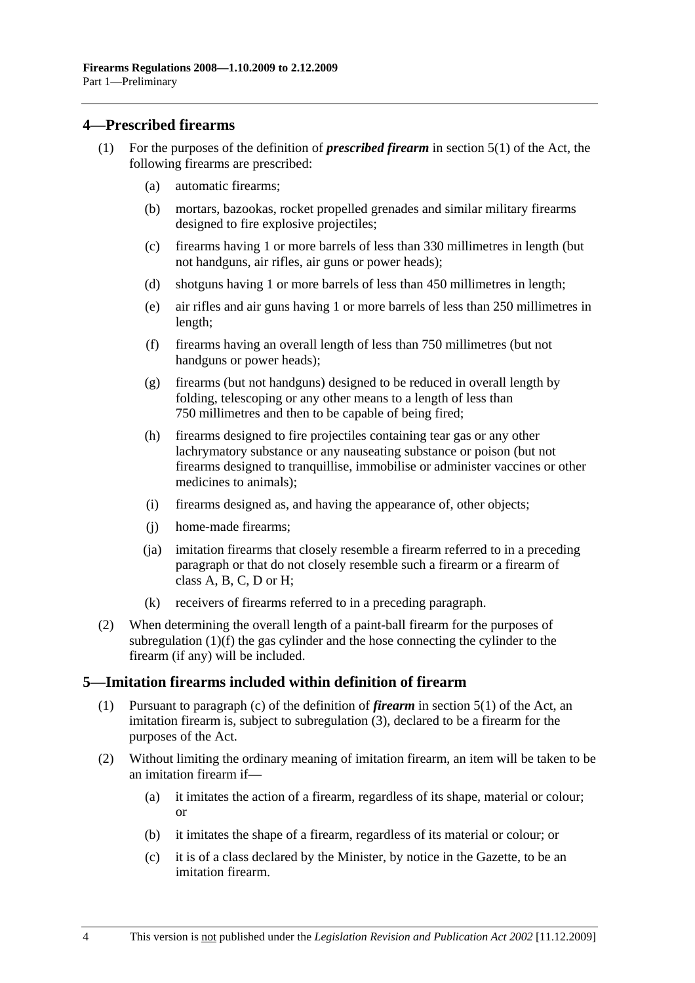#### **4—Prescribed firearms**

- (1) For the purposes of the definition of *prescribed firearm* in section 5(1) of the Act, the following firearms are prescribed:
	- (a) automatic firearms;
	- (b) mortars, bazookas, rocket propelled grenades and similar military firearms designed to fire explosive projectiles;
	- (c) firearms having 1 or more barrels of less than 330 millimetres in length (but not handguns, air rifles, air guns or power heads);
	- (d) shotguns having 1 or more barrels of less than 450 millimetres in length;
	- (e) air rifles and air guns having 1 or more barrels of less than 250 millimetres in length;
	- (f) firearms having an overall length of less than 750 millimetres (but not handguns or power heads);
	- (g) firearms (but not handguns) designed to be reduced in overall length by folding, telescoping or any other means to a length of less than 750 millimetres and then to be capable of being fired;
	- (h) firearms designed to fire projectiles containing tear gas or any other lachrymatory substance or any nauseating substance or poison (but not firearms designed to tranquillise, immobilise or administer vaccines or other medicines to animals);
	- (i) firearms designed as, and having the appearance of, other objects;
	- (j) home-made firearms;
	- (ja) imitation firearms that closely resemble a firearm referred to in a preceding paragraph or that do not closely resemble such a firearm or a firearm of class A, B, C, D or H;
	- (k) receivers of firearms referred to in a preceding paragraph.
- (2) When determining the overall length of a paint-ball firearm for the purposes of subregulation (1)(f) the gas cylinder and the hose connecting the cylinder to the firearm (if any) will be included.

## **5—Imitation firearms included within definition of firearm**

- (1) Pursuant to paragraph (c) of the definition of *firearm* in section 5(1) of the Act, an imitation firearm is, subject to subregulation (3), declared to be a firearm for the purposes of the Act.
- (2) Without limiting the ordinary meaning of imitation firearm, an item will be taken to be an imitation firearm if—
	- (a) it imitates the action of a firearm, regardless of its shape, material or colour; or
	- (b) it imitates the shape of a firearm, regardless of its material or colour; or
	- (c) it is of a class declared by the Minister, by notice in the Gazette, to be an imitation firearm.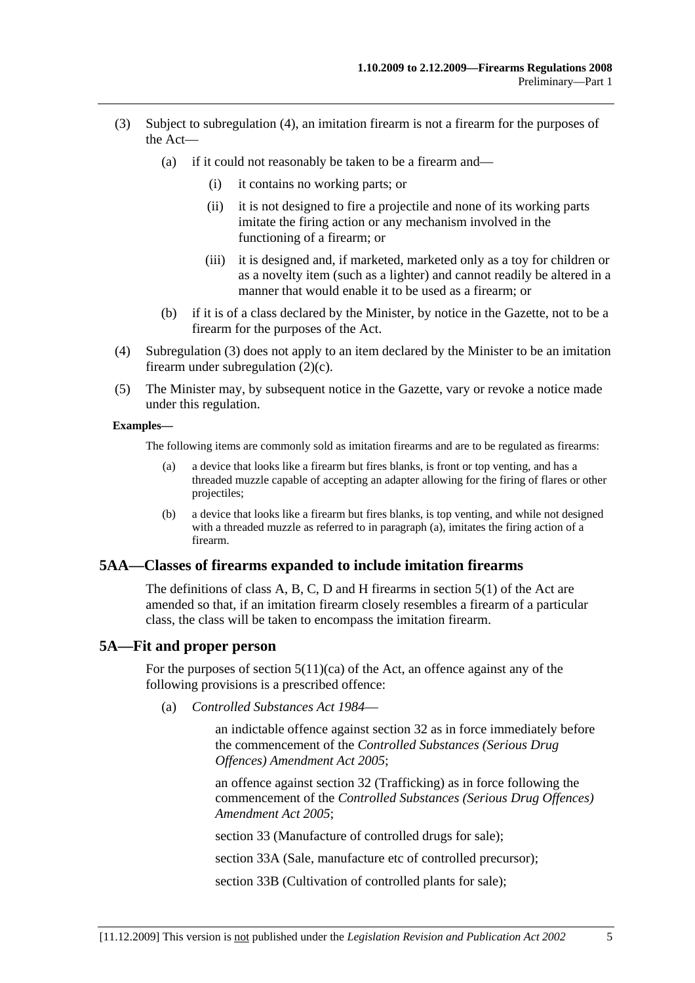- (3) Subject to subregulation (4), an imitation firearm is not a firearm for the purposes of the Act—
	- (a) if it could not reasonably be taken to be a firearm and—
		- (i) it contains no working parts; or
		- (ii) it is not designed to fire a projectile and none of its working parts imitate the firing action or any mechanism involved in the functioning of a firearm; or
		- (iii) it is designed and, if marketed, marketed only as a toy for children or as a novelty item (such as a lighter) and cannot readily be altered in a manner that would enable it to be used as a firearm; or
	- (b) if it is of a class declared by the Minister, by notice in the Gazette, not to be a firearm for the purposes of the Act.
- (4) Subregulation (3) does not apply to an item declared by the Minister to be an imitation firearm under subregulation (2)(c).
- (5) The Minister may, by subsequent notice in the Gazette, vary or revoke a notice made under this regulation.

#### **Examples—**

The following items are commonly sold as imitation firearms and are to be regulated as firearms:

- (a) a device that looks like a firearm but fires blanks, is front or top venting, and has a threaded muzzle capable of accepting an adapter allowing for the firing of flares or other projectiles;
- (b) a device that looks like a firearm but fires blanks, is top venting, and while not designed with a threaded muzzle as referred to in paragraph (a), imitates the firing action of a firearm.

## **5AA—Classes of firearms expanded to include imitation firearms**

The definitions of class A, B, C, D and H firearms in section 5(1) of the Act are amended so that, if an imitation firearm closely resembles a firearm of a particular class, the class will be taken to encompass the imitation firearm.

#### **5A—Fit and proper person**

For the purposes of section  $5(11)(ca)$  of the Act, an offence against any of the following provisions is a prescribed offence:

(a) *Controlled Substances Act 1984*—

an indictable offence against section 32 as in force immediately before the commencement of the *Controlled Substances (Serious Drug Offences) Amendment Act 2005*;

an offence against section 32 (Trafficking) as in force following the commencement of the *Controlled Substances (Serious Drug Offences) Amendment Act 2005*;

section 33 (Manufacture of controlled drugs for sale);

section 33A (Sale, manufacture etc of controlled precursor);

section 33B (Cultivation of controlled plants for sale);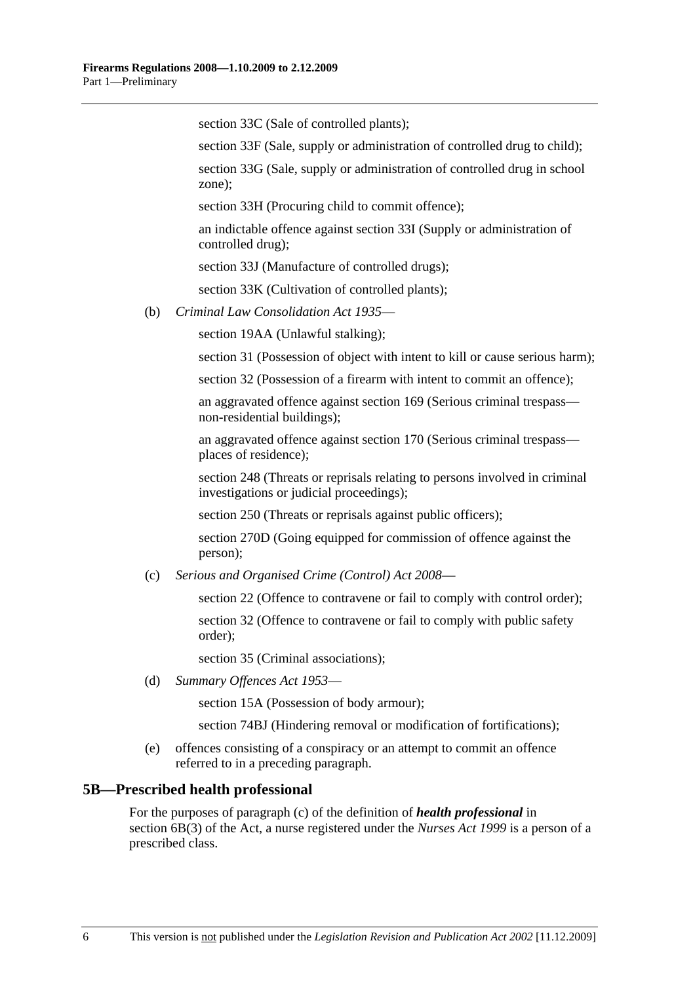section 33C (Sale of controlled plants);

section 33F (Sale, supply or administration of controlled drug to child);

section 33G (Sale, supply or administration of controlled drug in school zone);

section 33H (Procuring child to commit offence);

an indictable offence against section 33I (Supply or administration of controlled drug);

section 33J (Manufacture of controlled drugs);

section 33K (Cultivation of controlled plants);

(b) *Criminal Law Consolidation Act 1935*—

section 19AA (Unlawful stalking);

section 31 (Possession of object with intent to kill or cause serious harm);

section 32 (Possession of a firearm with intent to commit an offence);

an aggravated offence against section 169 (Serious criminal trespass non-residential buildings);

an aggravated offence against section 170 (Serious criminal trespass places of residence);

section 248 (Threats or reprisals relating to persons involved in criminal investigations or judicial proceedings);

section 250 (Threats or reprisals against public officers);

section 270D (Going equipped for commission of offence against the person);

(c) *Serious and Organised Crime (Control) Act 2008*—

section 22 (Offence to contravene or fail to comply with control order); section 32 (Offence to contravene or fail to comply with public safety order);

section 35 (Criminal associations);

(d) *Summary Offences Act 1953*—

section 15A (Possession of body armour);

section 74BJ (Hindering removal or modification of fortifications);

 (e) offences consisting of a conspiracy or an attempt to commit an offence referred to in a preceding paragraph.

#### **5B—Prescribed health professional**

For the purposes of paragraph (c) of the definition of *health professional* in section 6B(3) of the Act, a nurse registered under the *Nurses Act 1999* is a person of a prescribed class.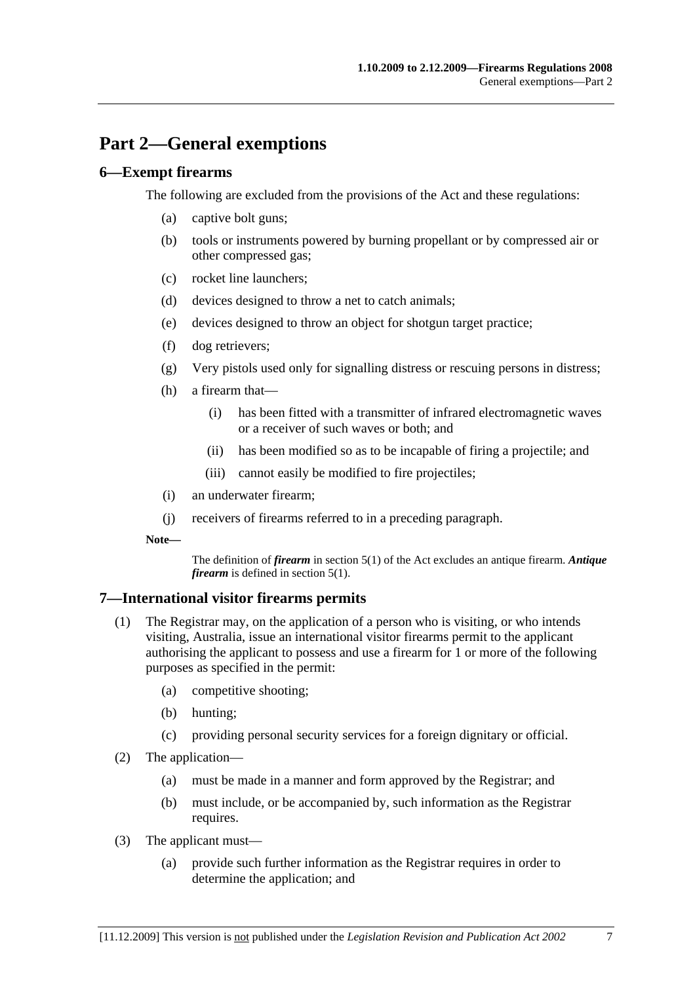# **Part 2—General exemptions**

## **6—Exempt firearms**

The following are excluded from the provisions of the Act and these regulations:

- (a) captive bolt guns;
- (b) tools or instruments powered by burning propellant or by compressed air or other compressed gas;
- (c) rocket line launchers;
- (d) devices designed to throw a net to catch animals;
- (e) devices designed to throw an object for shotgun target practice;
- (f) dog retrievers;
- (g) Very pistols used only for signalling distress or rescuing persons in distress;
- (h) a firearm that—
	- (i) has been fitted with a transmitter of infrared electromagnetic waves or a receiver of such waves or both; and
	- (ii) has been modified so as to be incapable of firing a projectile; and
	- (iii) cannot easily be modified to fire projectiles;
- (i) an underwater firearm;
- (j) receivers of firearms referred to in a preceding paragraph.
- **Note—**

The definition of *firearm* in section 5(1) of the Act excludes an antique firearm. *Antique firearm* is defined in section 5(1).

## **7—International visitor firearms permits**

- (1) The Registrar may, on the application of a person who is visiting, or who intends visiting, Australia, issue an international visitor firearms permit to the applicant authorising the applicant to possess and use a firearm for 1 or more of the following purposes as specified in the permit:
	- (a) competitive shooting;
	- (b) hunting;
	- (c) providing personal security services for a foreign dignitary or official.
- (2) The application—
	- (a) must be made in a manner and form approved by the Registrar; and
	- (b) must include, or be accompanied by, such information as the Registrar requires.
- (3) The applicant must—
	- (a) provide such further information as the Registrar requires in order to determine the application; and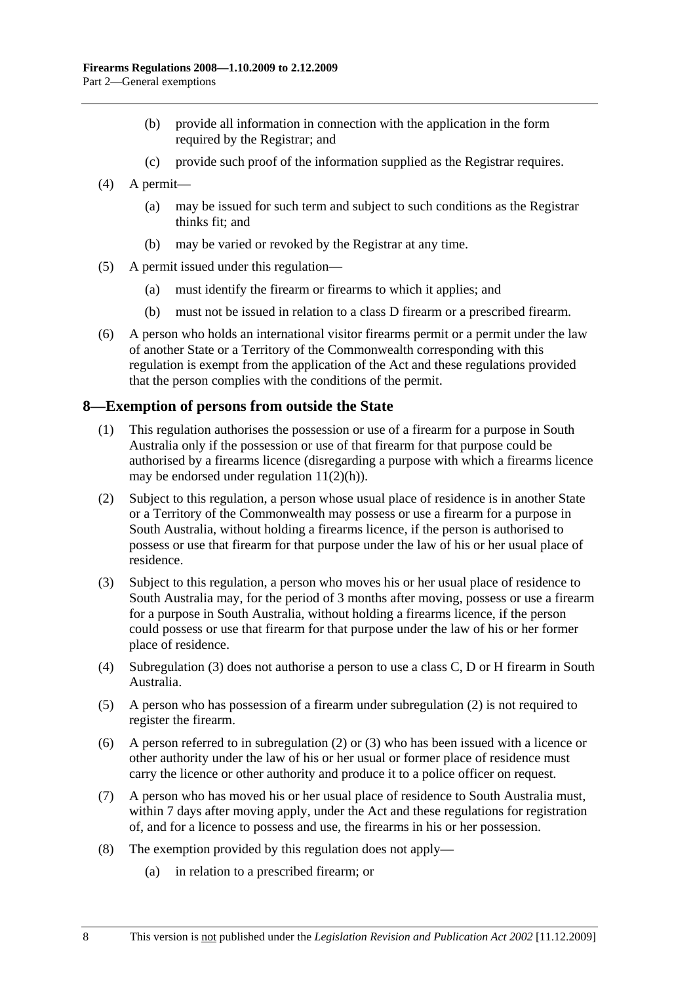- (b) provide all information in connection with the application in the form required by the Registrar; and
- (c) provide such proof of the information supplied as the Registrar requires.
- (4) A permit—
	- (a) may be issued for such term and subject to such conditions as the Registrar thinks fit; and
	- (b) may be varied or revoked by the Registrar at any time.
- (5) A permit issued under this regulation—
	- (a) must identify the firearm or firearms to which it applies; and
	- (b) must not be issued in relation to a class D firearm or a prescribed firearm.
- (6) A person who holds an international visitor firearms permit or a permit under the law of another State or a Territory of the Commonwealth corresponding with this regulation is exempt from the application of the Act and these regulations provided that the person complies with the conditions of the permit.

#### **8—Exemption of persons from outside the State**

- (1) This regulation authorises the possession or use of a firearm for a purpose in South Australia only if the possession or use of that firearm for that purpose could be authorised by a firearms licence (disregarding a purpose with which a firearms licence may be endorsed under regulation 11(2)(h)).
- (2) Subject to this regulation, a person whose usual place of residence is in another State or a Territory of the Commonwealth may possess or use a firearm for a purpose in South Australia, without holding a firearms licence, if the person is authorised to possess or use that firearm for that purpose under the law of his or her usual place of residence.
- (3) Subject to this regulation, a person who moves his or her usual place of residence to South Australia may, for the period of 3 months after moving, possess or use a firearm for a purpose in South Australia, without holding a firearms licence, if the person could possess or use that firearm for that purpose under the law of his or her former place of residence.
- (4) Subregulation (3) does not authorise a person to use a class C, D or H firearm in South Australia.
- (5) A person who has possession of a firearm under subregulation (2) is not required to register the firearm.
- (6) A person referred to in subregulation (2) or (3) who has been issued with a licence or other authority under the law of his or her usual or former place of residence must carry the licence or other authority and produce it to a police officer on request.
- (7) A person who has moved his or her usual place of residence to South Australia must, within 7 days after moving apply, under the Act and these regulations for registration of, and for a licence to possess and use, the firearms in his or her possession.
- (8) The exemption provided by this regulation does not apply—
	- (a) in relation to a prescribed firearm; or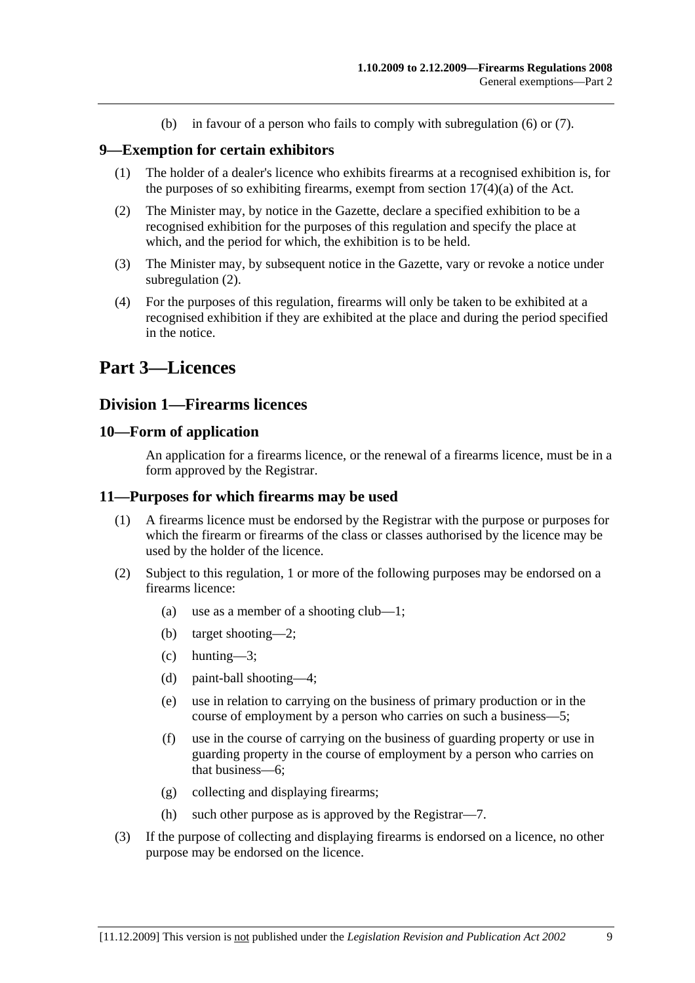(b) in favour of a person who fails to comply with subregulation (6) or (7).

#### **9—Exemption for certain exhibitors**

- (1) The holder of a dealer's licence who exhibits firearms at a recognised exhibition is, for the purposes of so exhibiting firearms, exempt from section  $17(4)(a)$  of the Act.
- (2) The Minister may, by notice in the Gazette, declare a specified exhibition to be a recognised exhibition for the purposes of this regulation and specify the place at which, and the period for which, the exhibition is to be held.
- (3) The Minister may, by subsequent notice in the Gazette, vary or revoke a notice under subregulation (2).
- (4) For the purposes of this regulation, firearms will only be taken to be exhibited at a recognised exhibition if they are exhibited at the place and during the period specified in the notice.

# **Part 3—Licences**

#### **Division 1—Firearms licences**

#### **10—Form of application**

An application for a firearms licence, or the renewal of a firearms licence, must be in a form approved by the Registrar.

#### **11—Purposes for which firearms may be used**

- (1) A firearms licence must be endorsed by the Registrar with the purpose or purposes for which the firearm or firearms of the class or classes authorised by the licence may be used by the holder of the licence.
- (2) Subject to this regulation, 1 or more of the following purposes may be endorsed on a firearms licence:
	- (a) use as a member of a shooting club—1;
	- (b) target shooting—2;
	- (c) hunting—3;
	- (d) paint-ball shooting—4;
	- (e) use in relation to carrying on the business of primary production or in the course of employment by a person who carries on such a business—5;
	- (f) use in the course of carrying on the business of guarding property or use in guarding property in the course of employment by a person who carries on that business—6;
	- (g) collecting and displaying firearms;
	- (h) such other purpose as is approved by the Registrar—7.
- (3) If the purpose of collecting and displaying firearms is endorsed on a licence, no other purpose may be endorsed on the licence.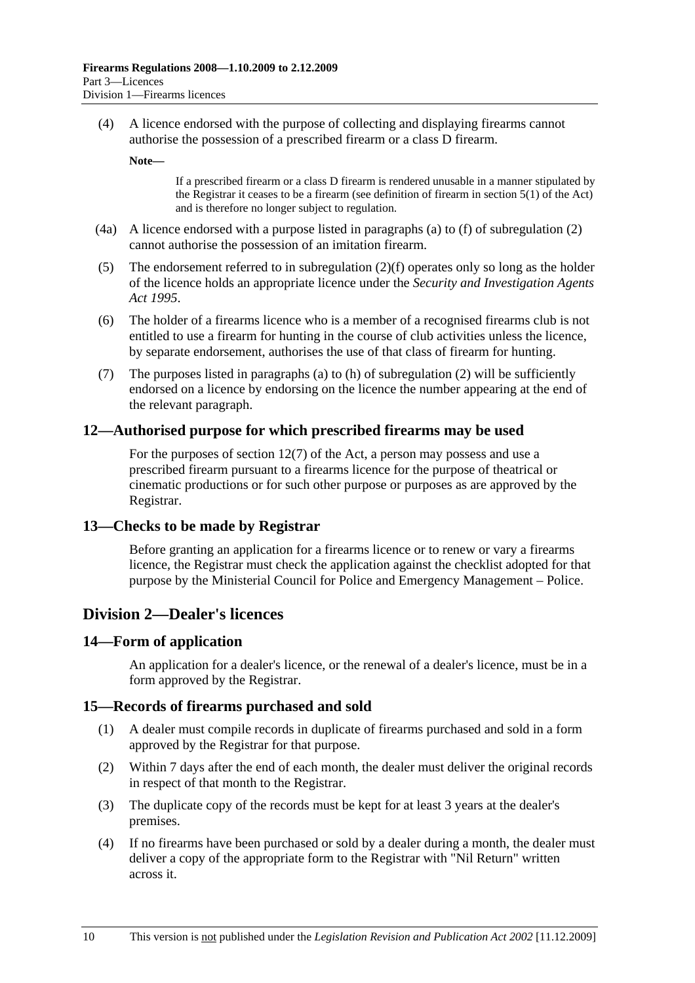(4) A licence endorsed with the purpose of collecting and displaying firearms cannot authorise the possession of a prescribed firearm or a class D firearm.

**Note—** 

If a prescribed firearm or a class D firearm is rendered unusable in a manner stipulated by the Registrar it ceases to be a firearm (see definition of firearm in section 5(1) of the Act) and is therefore no longer subject to regulation.

- (4a) A licence endorsed with a purpose listed in paragraphs (a) to (f) of subregulation (2) cannot authorise the possession of an imitation firearm.
- (5) The endorsement referred to in subregulation (2)(f) operates only so long as the holder of the licence holds an appropriate licence under the *Security and Investigation Agents Act 1995*.
- (6) The holder of a firearms licence who is a member of a recognised firearms club is not entitled to use a firearm for hunting in the course of club activities unless the licence, by separate endorsement, authorises the use of that class of firearm for hunting.
- (7) The purposes listed in paragraphs (a) to (h) of subregulation (2) will be sufficiently endorsed on a licence by endorsing on the licence the number appearing at the end of the relevant paragraph.

#### **12—Authorised purpose for which prescribed firearms may be used**

For the purposes of section 12(7) of the Act, a person may possess and use a prescribed firearm pursuant to a firearms licence for the purpose of theatrical or cinematic productions or for such other purpose or purposes as are approved by the Registrar.

#### **13—Checks to be made by Registrar**

Before granting an application for a firearms licence or to renew or vary a firearms licence, the Registrar must check the application against the checklist adopted for that purpose by the Ministerial Council for Police and Emergency Management – Police.

## **Division 2—Dealer's licences**

#### **14—Form of application**

An application for a dealer's licence, or the renewal of a dealer's licence, must be in a form approved by the Registrar.

#### **15—Records of firearms purchased and sold**

- (1) A dealer must compile records in duplicate of firearms purchased and sold in a form approved by the Registrar for that purpose.
- (2) Within 7 days after the end of each month, the dealer must deliver the original records in respect of that month to the Registrar.
- (3) The duplicate copy of the records must be kept for at least 3 years at the dealer's premises.
- (4) If no firearms have been purchased or sold by a dealer during a month, the dealer must deliver a copy of the appropriate form to the Registrar with "Nil Return" written across it.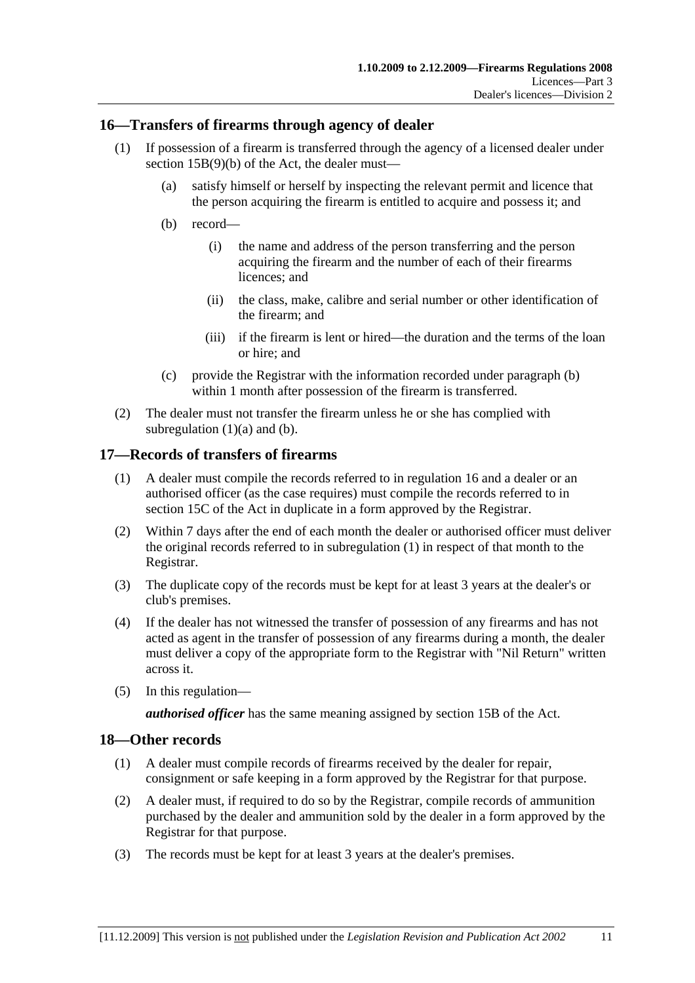## **16—Transfers of firearms through agency of dealer**

- (1) If possession of a firearm is transferred through the agency of a licensed dealer under section 15B(9)(b) of the Act, the dealer must—
	- (a) satisfy himself or herself by inspecting the relevant permit and licence that the person acquiring the firearm is entitled to acquire and possess it; and
	- (b) record—
		- (i) the name and address of the person transferring and the person acquiring the firearm and the number of each of their firearms licences; and
		- (ii) the class, make, calibre and serial number or other identification of the firearm; and
		- (iii) if the firearm is lent or hired—the duration and the terms of the loan or hire; and
	- (c) provide the Registrar with the information recorded under paragraph (b) within 1 month after possession of the firearm is transferred.
- (2) The dealer must not transfer the firearm unless he or she has complied with subregulation  $(1)(a)$  and  $(b)$ .

### **17—Records of transfers of firearms**

- (1) A dealer must compile the records referred to in regulation 16 and a dealer or an authorised officer (as the case requires) must compile the records referred to in section 15C of the Act in duplicate in a form approved by the Registrar.
- (2) Within 7 days after the end of each month the dealer or authorised officer must deliver the original records referred to in subregulation (1) in respect of that month to the Registrar.
- (3) The duplicate copy of the records must be kept for at least 3 years at the dealer's or club's premises.
- (4) If the dealer has not witnessed the transfer of possession of any firearms and has not acted as agent in the transfer of possession of any firearms during a month, the dealer must deliver a copy of the appropriate form to the Registrar with "Nil Return" written across it.
- (5) In this regulation—

*authorised officer* has the same meaning assigned by section 15B of the Act.

#### **18—Other records**

- (1) A dealer must compile records of firearms received by the dealer for repair, consignment or safe keeping in a form approved by the Registrar for that purpose.
- (2) A dealer must, if required to do so by the Registrar, compile records of ammunition purchased by the dealer and ammunition sold by the dealer in a form approved by the Registrar for that purpose.
- (3) The records must be kept for at least 3 years at the dealer's premises.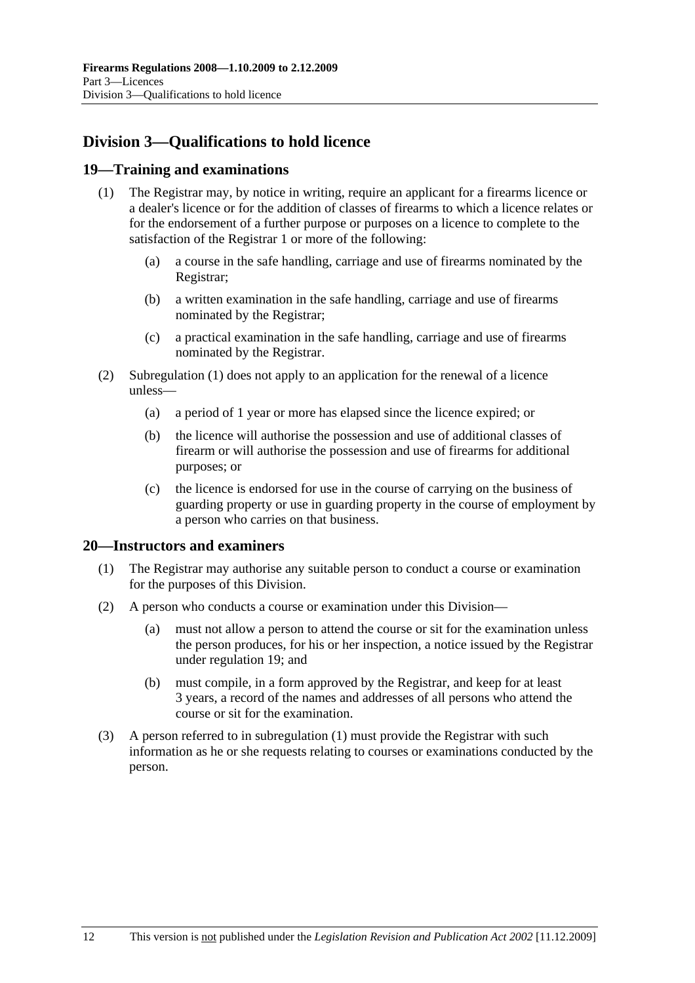# **Division 3—Qualifications to hold licence**

## **19—Training and examinations**

- (1) The Registrar may, by notice in writing, require an applicant for a firearms licence or a dealer's licence or for the addition of classes of firearms to which a licence relates or for the endorsement of a further purpose or purposes on a licence to complete to the satisfaction of the Registrar 1 or more of the following:
	- (a) a course in the safe handling, carriage and use of firearms nominated by the Registrar;
	- (b) a written examination in the safe handling, carriage and use of firearms nominated by the Registrar;
	- (c) a practical examination in the safe handling, carriage and use of firearms nominated by the Registrar.
- (2) Subregulation (1) does not apply to an application for the renewal of a licence unless—
	- (a) a period of 1 year or more has elapsed since the licence expired; or
	- (b) the licence will authorise the possession and use of additional classes of firearm or will authorise the possession and use of firearms for additional purposes; or
	- (c) the licence is endorsed for use in the course of carrying on the business of guarding property or use in guarding property in the course of employment by a person who carries on that business.

## **20—Instructors and examiners**

- (1) The Registrar may authorise any suitable person to conduct a course or examination for the purposes of this Division.
- (2) A person who conducts a course or examination under this Division—
	- (a) must not allow a person to attend the course or sit for the examination unless the person produces, for his or her inspection, a notice issued by the Registrar under regulation 19; and
	- (b) must compile, in a form approved by the Registrar, and keep for at least 3 years, a record of the names and addresses of all persons who attend the course or sit for the examination.
- (3) A person referred to in subregulation (1) must provide the Registrar with such information as he or she requests relating to courses or examinations conducted by the person.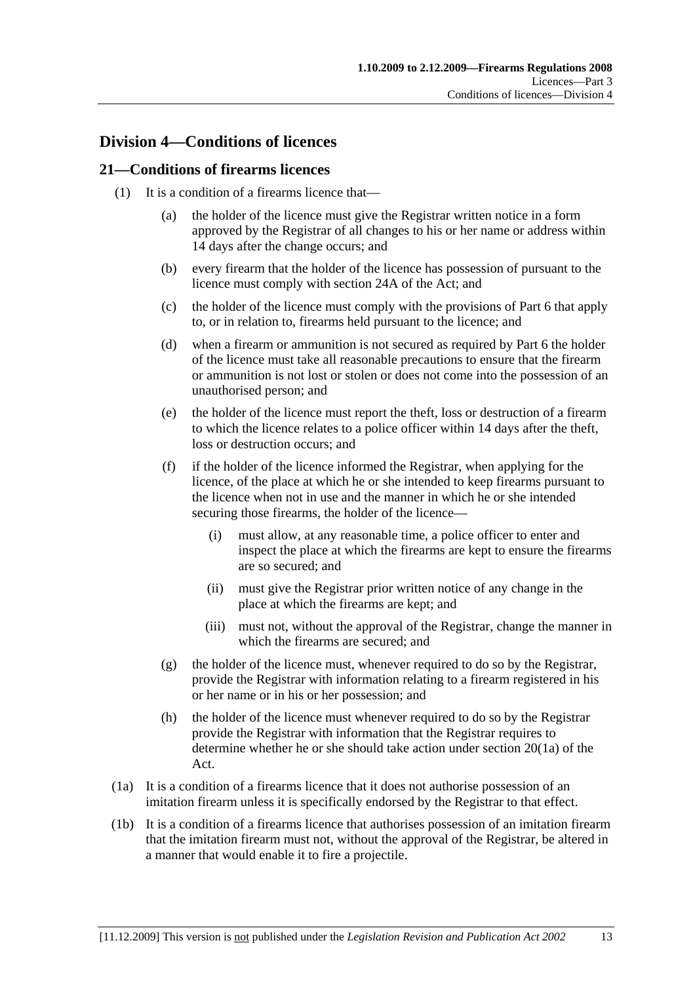## **Division 4—Conditions of licences**

### **21—Conditions of firearms licences**

- (1) It is a condition of a firearms licence that—
	- (a) the holder of the licence must give the Registrar written notice in a form approved by the Registrar of all changes to his or her name or address within 14 days after the change occurs; and
	- (b) every firearm that the holder of the licence has possession of pursuant to the licence must comply with section 24A of the Act; and
	- (c) the holder of the licence must comply with the provisions of Part 6 that apply to, or in relation to, firearms held pursuant to the licence; and
	- (d) when a firearm or ammunition is not secured as required by Part 6 the holder of the licence must take all reasonable precautions to ensure that the firearm or ammunition is not lost or stolen or does not come into the possession of an unauthorised person; and
	- (e) the holder of the licence must report the theft, loss or destruction of a firearm to which the licence relates to a police officer within 14 days after the theft, loss or destruction occurs; and
	- (f) if the holder of the licence informed the Registrar, when applying for the licence, of the place at which he or she intended to keep firearms pursuant to the licence when not in use and the manner in which he or she intended securing those firearms, the holder of the licence—
		- (i) must allow, at any reasonable time, a police officer to enter and inspect the place at which the firearms are kept to ensure the firearms are so secured; and
		- (ii) must give the Registrar prior written notice of any change in the place at which the firearms are kept; and
		- (iii) must not, without the approval of the Registrar, change the manner in which the firearms are secured; and
	- $(g)$  the holder of the licence must, whenever required to do so by the Registrar, provide the Registrar with information relating to a firearm registered in his or her name or in his or her possession; and
	- (h) the holder of the licence must whenever required to do so by the Registrar provide the Registrar with information that the Registrar requires to determine whether he or she should take action under section 20(1a) of the Act.
- (1a) It is a condition of a firearms licence that it does not authorise possession of an imitation firearm unless it is specifically endorsed by the Registrar to that effect.
- (1b) It is a condition of a firearms licence that authorises possession of an imitation firearm that the imitation firearm must not, without the approval of the Registrar, be altered in a manner that would enable it to fire a projectile.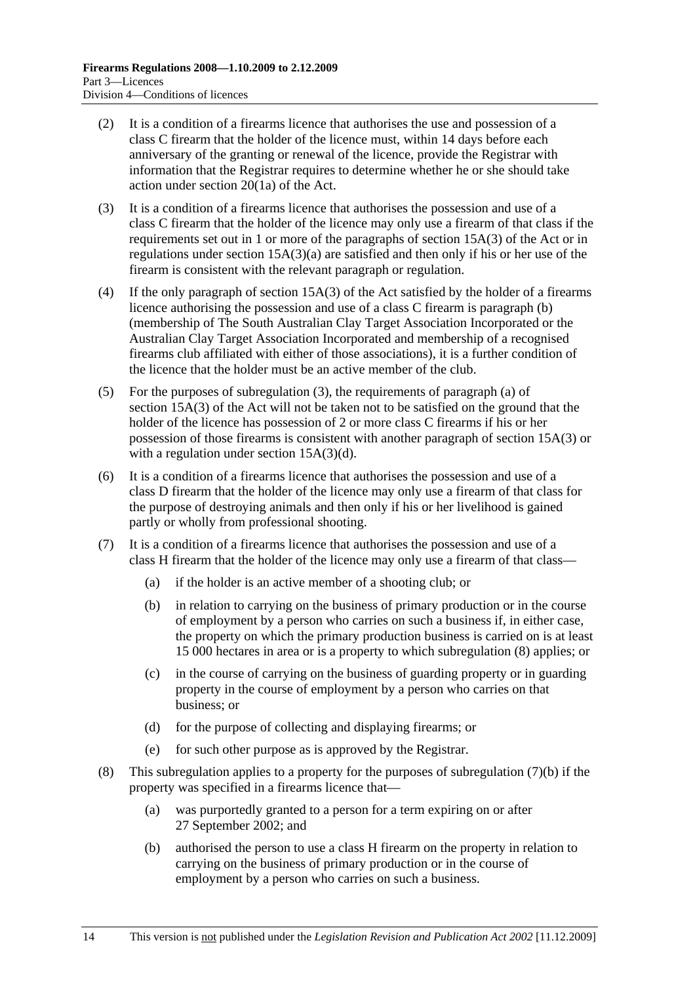- (2) It is a condition of a firearms licence that authorises the use and possession of a class C firearm that the holder of the licence must, within 14 days before each anniversary of the granting or renewal of the licence, provide the Registrar with information that the Registrar requires to determine whether he or she should take action under section 20(1a) of the Act.
- (3) It is a condition of a firearms licence that authorises the possession and use of a class C firearm that the holder of the licence may only use a firearm of that class if the requirements set out in 1 or more of the paragraphs of section 15A(3) of the Act or in regulations under section 15A(3)(a) are satisfied and then only if his or her use of the firearm is consistent with the relevant paragraph or regulation.
- (4) If the only paragraph of section 15A(3) of the Act satisfied by the holder of a firearms licence authorising the possession and use of a class C firearm is paragraph (b) (membership of The South Australian Clay Target Association Incorporated or the Australian Clay Target Association Incorporated and membership of a recognised firearms club affiliated with either of those associations), it is a further condition of the licence that the holder must be an active member of the club.
- (5) For the purposes of subregulation (3), the requirements of paragraph (a) of section 15A(3) of the Act will not be taken not to be satisfied on the ground that the holder of the licence has possession of 2 or more class C firearms if his or her possession of those firearms is consistent with another paragraph of section 15A(3) or with a regulation under section 15A(3)(d).
- (6) It is a condition of a firearms licence that authorises the possession and use of a class D firearm that the holder of the licence may only use a firearm of that class for the purpose of destroying animals and then only if his or her livelihood is gained partly or wholly from professional shooting.
- (7) It is a condition of a firearms licence that authorises the possession and use of a class H firearm that the holder of the licence may only use a firearm of that class—
	- (a) if the holder is an active member of a shooting club; or
	- (b) in relation to carrying on the business of primary production or in the course of employment by a person who carries on such a business if, in either case, the property on which the primary production business is carried on is at least 15 000 hectares in area or is a property to which subregulation (8) applies; or
	- (c) in the course of carrying on the business of guarding property or in guarding property in the course of employment by a person who carries on that business; or
	- (d) for the purpose of collecting and displaying firearms; or
	- (e) for such other purpose as is approved by the Registrar.
- (8) This subregulation applies to a property for the purposes of subregulation (7)(b) if the property was specified in a firearms licence that—
	- (a) was purportedly granted to a person for a term expiring on or after 27 September 2002; and
	- (b) authorised the person to use a class H firearm on the property in relation to carrying on the business of primary production or in the course of employment by a person who carries on such a business.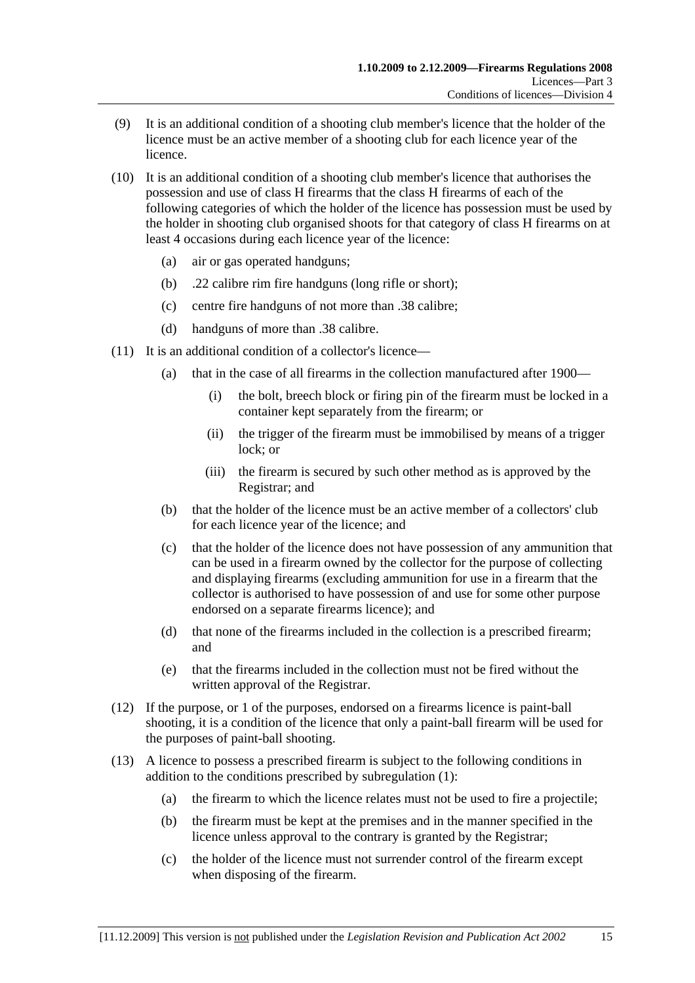- (9) It is an additional condition of a shooting club member's licence that the holder of the licence must be an active member of a shooting club for each licence year of the licence.
- (10) It is an additional condition of a shooting club member's licence that authorises the possession and use of class H firearms that the class H firearms of each of the following categories of which the holder of the licence has possession must be used by the holder in shooting club organised shoots for that category of class H firearms on at least 4 occasions during each licence year of the licence:
	- (a) air or gas operated handguns;
	- (b) .22 calibre rim fire handguns (long rifle or short);
	- (c) centre fire handguns of not more than .38 calibre;
	- (d) handguns of more than .38 calibre.
- (11) It is an additional condition of a collector's licence—
	- (a) that in the case of all firearms in the collection manufactured after 1900—
		- (i) the bolt, breech block or firing pin of the firearm must be locked in a container kept separately from the firearm; or
		- (ii) the trigger of the firearm must be immobilised by means of a trigger lock; or
		- (iii) the firearm is secured by such other method as is approved by the Registrar; and
	- (b) that the holder of the licence must be an active member of a collectors' club for each licence year of the licence; and
	- (c) that the holder of the licence does not have possession of any ammunition that can be used in a firearm owned by the collector for the purpose of collecting and displaying firearms (excluding ammunition for use in a firearm that the collector is authorised to have possession of and use for some other purpose endorsed on a separate firearms licence); and
	- (d) that none of the firearms included in the collection is a prescribed firearm; and
	- (e) that the firearms included in the collection must not be fired without the written approval of the Registrar.
- (12) If the purpose, or 1 of the purposes, endorsed on a firearms licence is paint-ball shooting, it is a condition of the licence that only a paint-ball firearm will be used for the purposes of paint-ball shooting.
- (13) A licence to possess a prescribed firearm is subject to the following conditions in addition to the conditions prescribed by subregulation (1):
	- (a) the firearm to which the licence relates must not be used to fire a projectile;
	- (b) the firearm must be kept at the premises and in the manner specified in the licence unless approval to the contrary is granted by the Registrar;
	- (c) the holder of the licence must not surrender control of the firearm except when disposing of the firearm.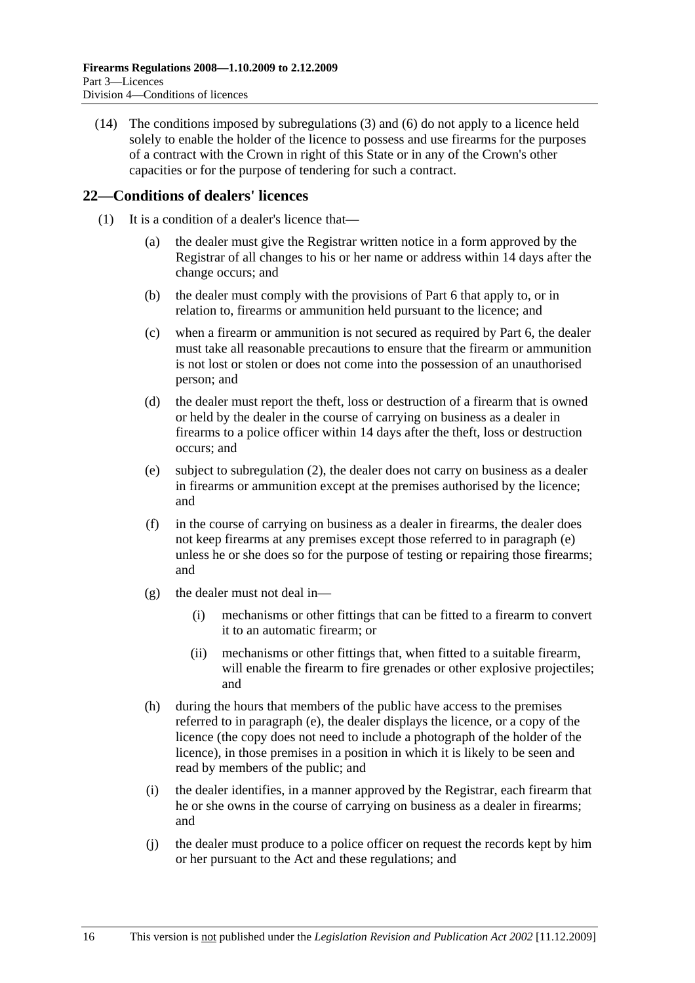(14) The conditions imposed by subregulations (3) and (6) do not apply to a licence held solely to enable the holder of the licence to possess and use firearms for the purposes of a contract with the Crown in right of this State or in any of the Crown's other capacities or for the purpose of tendering for such a contract.

## **22—Conditions of dealers' licences**

- (1) It is a condition of a dealer's licence that—
	- (a) the dealer must give the Registrar written notice in a form approved by the Registrar of all changes to his or her name or address within 14 days after the change occurs; and
	- (b) the dealer must comply with the provisions of Part 6 that apply to, or in relation to, firearms or ammunition held pursuant to the licence; and
	- (c) when a firearm or ammunition is not secured as required by Part 6, the dealer must take all reasonable precautions to ensure that the firearm or ammunition is not lost or stolen or does not come into the possession of an unauthorised person; and
	- (d) the dealer must report the theft, loss or destruction of a firearm that is owned or held by the dealer in the course of carrying on business as a dealer in firearms to a police officer within 14 days after the theft, loss or destruction occurs; and
	- (e) subject to subregulation (2), the dealer does not carry on business as a dealer in firearms or ammunition except at the premises authorised by the licence; and
	- (f) in the course of carrying on business as a dealer in firearms, the dealer does not keep firearms at any premises except those referred to in paragraph (e) unless he or she does so for the purpose of testing or repairing those firearms; and
	- $(g)$  the dealer must not deal in—
		- (i) mechanisms or other fittings that can be fitted to a firearm to convert it to an automatic firearm; or
		- (ii) mechanisms or other fittings that, when fitted to a suitable firearm, will enable the firearm to fire grenades or other explosive projectiles; and
	- (h) during the hours that members of the public have access to the premises referred to in paragraph (e), the dealer displays the licence, or a copy of the licence (the copy does not need to include a photograph of the holder of the licence), in those premises in a position in which it is likely to be seen and read by members of the public; and
	- (i) the dealer identifies, in a manner approved by the Registrar, each firearm that he or she owns in the course of carrying on business as a dealer in firearms; and
	- (j) the dealer must produce to a police officer on request the records kept by him or her pursuant to the Act and these regulations; and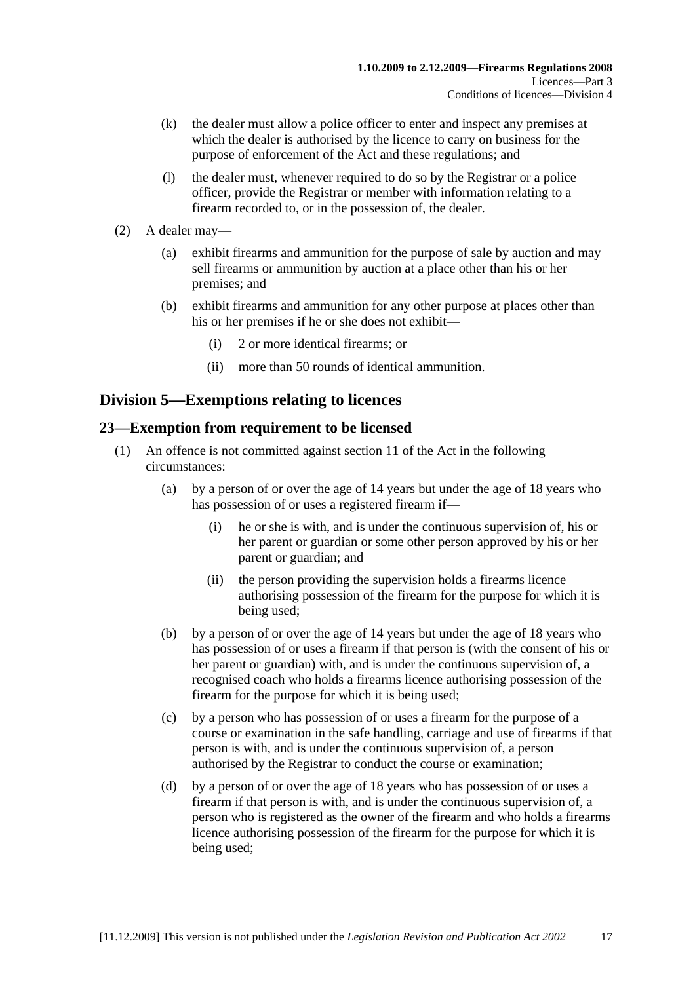- (k) the dealer must allow a police officer to enter and inspect any premises at which the dealer is authorised by the licence to carry on business for the purpose of enforcement of the Act and these regulations; and
- (l) the dealer must, whenever required to do so by the Registrar or a police officer, provide the Registrar or member with information relating to a firearm recorded to, or in the possession of, the dealer.
- (2) A dealer may—
	- (a) exhibit firearms and ammunition for the purpose of sale by auction and may sell firearms or ammunition by auction at a place other than his or her premises; and
	- (b) exhibit firearms and ammunition for any other purpose at places other than his or her premises if he or she does not exhibit—
		- (i) 2 or more identical firearms; or
		- (ii) more than 50 rounds of identical ammunition.

## **Division 5—Exemptions relating to licences**

## **23—Exemption from requirement to be licensed**

- (1) An offence is not committed against section 11 of the Act in the following circumstances:
	- (a) by a person of or over the age of 14 years but under the age of 18 years who has possession of or uses a registered firearm if—
		- (i) he or she is with, and is under the continuous supervision of, his or her parent or guardian or some other person approved by his or her parent or guardian; and
		- (ii) the person providing the supervision holds a firearms licence authorising possession of the firearm for the purpose for which it is being used;
	- (b) by a person of or over the age of 14 years but under the age of 18 years who has possession of or uses a firearm if that person is (with the consent of his or her parent or guardian) with, and is under the continuous supervision of, a recognised coach who holds a firearms licence authorising possession of the firearm for the purpose for which it is being used;
	- (c) by a person who has possession of or uses a firearm for the purpose of a course or examination in the safe handling, carriage and use of firearms if that person is with, and is under the continuous supervision of, a person authorised by the Registrar to conduct the course or examination;
	- (d) by a person of or over the age of 18 years who has possession of or uses a firearm if that person is with, and is under the continuous supervision of, a person who is registered as the owner of the firearm and who holds a firearms licence authorising possession of the firearm for the purpose for which it is being used;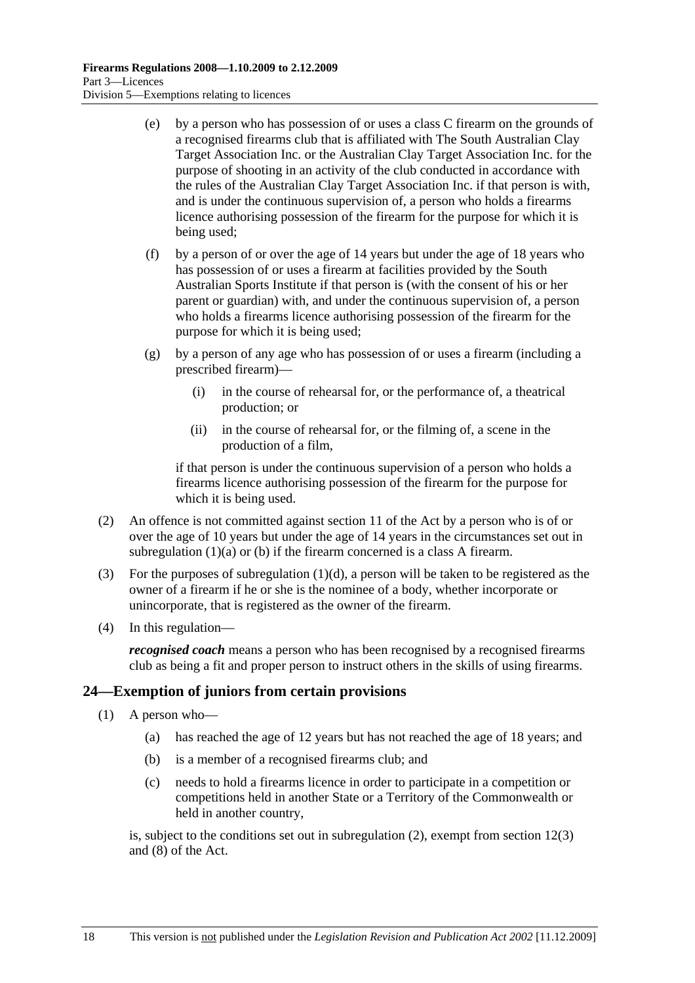- (e) by a person who has possession of or uses a class C firearm on the grounds of a recognised firearms club that is affiliated with The South Australian Clay Target Association Inc. or the Australian Clay Target Association Inc. for the purpose of shooting in an activity of the club conducted in accordance with the rules of the Australian Clay Target Association Inc. if that person is with, and is under the continuous supervision of, a person who holds a firearms licence authorising possession of the firearm for the purpose for which it is being used;
- (f) by a person of or over the age of 14 years but under the age of 18 years who has possession of or uses a firearm at facilities provided by the South Australian Sports Institute if that person is (with the consent of his or her parent or guardian) with, and under the continuous supervision of, a person who holds a firearms licence authorising possession of the firearm for the purpose for which it is being used;
- (g) by a person of any age who has possession of or uses a firearm (including a prescribed firearm)—
	- (i) in the course of rehearsal for, or the performance of, a theatrical production; or
	- (ii) in the course of rehearsal for, or the filming of, a scene in the production of a film,

if that person is under the continuous supervision of a person who holds a firearms licence authorising possession of the firearm for the purpose for which it is being used.

- (2) An offence is not committed against section 11 of the Act by a person who is of or over the age of 10 years but under the age of 14 years in the circumstances set out in subregulation (1)(a) or (b) if the firearm concerned is a class A firearm.
- (3) For the purposes of subregulation  $(1)(d)$ , a person will be taken to be registered as the owner of a firearm if he or she is the nominee of a body, whether incorporate or unincorporate, that is registered as the owner of the firearm.
- (4) In this regulation—

*recognised coach* means a person who has been recognised by a recognised firearms club as being a fit and proper person to instruct others in the skills of using firearms.

## **24—Exemption of juniors from certain provisions**

- (1) A person who—
	- (a) has reached the age of 12 years but has not reached the age of 18 years; and
	- (b) is a member of a recognised firearms club; and
	- (c) needs to hold a firearms licence in order to participate in a competition or competitions held in another State or a Territory of the Commonwealth or held in another country,

is, subject to the conditions set out in subregulation (2), exempt from section 12(3) and (8) of the Act.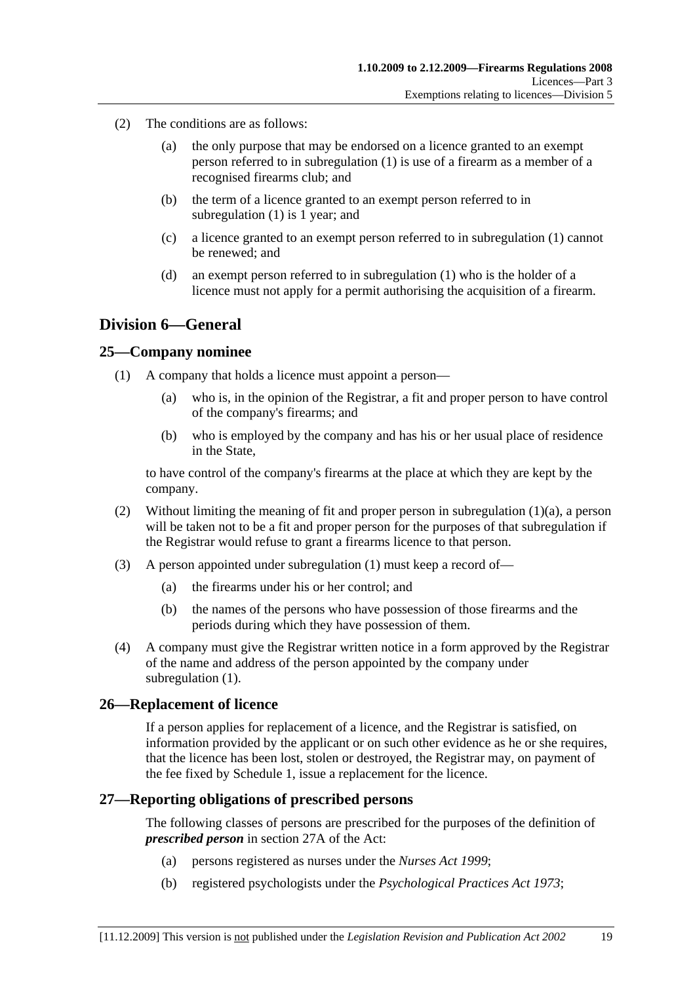- (2) The conditions are as follows:
	- (a) the only purpose that may be endorsed on a licence granted to an exempt person referred to in subregulation (1) is use of a firearm as a member of a recognised firearms club; and
	- (b) the term of a licence granted to an exempt person referred to in subregulation (1) is 1 year; and
	- (c) a licence granted to an exempt person referred to in subregulation (1) cannot be renewed; and
	- (d) an exempt person referred to in subregulation (1) who is the holder of a licence must not apply for a permit authorising the acquisition of a firearm.

## **Division 6—General**

#### **25—Company nominee**

- (1) A company that holds a licence must appoint a person—
	- (a) who is, in the opinion of the Registrar, a fit and proper person to have control of the company's firearms; and
	- (b) who is employed by the company and has his or her usual place of residence in the State,

to have control of the company's firearms at the place at which they are kept by the company.

- (2) Without limiting the meaning of fit and proper person in subregulation  $(1)(a)$ , a person will be taken not to be a fit and proper person for the purposes of that subregulation if the Registrar would refuse to grant a firearms licence to that person.
- (3) A person appointed under subregulation (1) must keep a record of—
	- (a) the firearms under his or her control; and
	- (b) the names of the persons who have possession of those firearms and the periods during which they have possession of them.
- (4) A company must give the Registrar written notice in a form approved by the Registrar of the name and address of the person appointed by the company under subregulation (1).

## **26—Replacement of licence**

If a person applies for replacement of a licence, and the Registrar is satisfied, on information provided by the applicant or on such other evidence as he or she requires, that the licence has been lost, stolen or destroyed, the Registrar may, on payment of the fee fixed by Schedule 1, issue a replacement for the licence.

#### **27—Reporting obligations of prescribed persons**

The following classes of persons are prescribed for the purposes of the definition of *prescribed person* in section 27A of the Act:

- (a) persons registered as nurses under the *Nurses Act 1999*;
- (b) registered psychologists under the *Psychological Practices Act 1973*;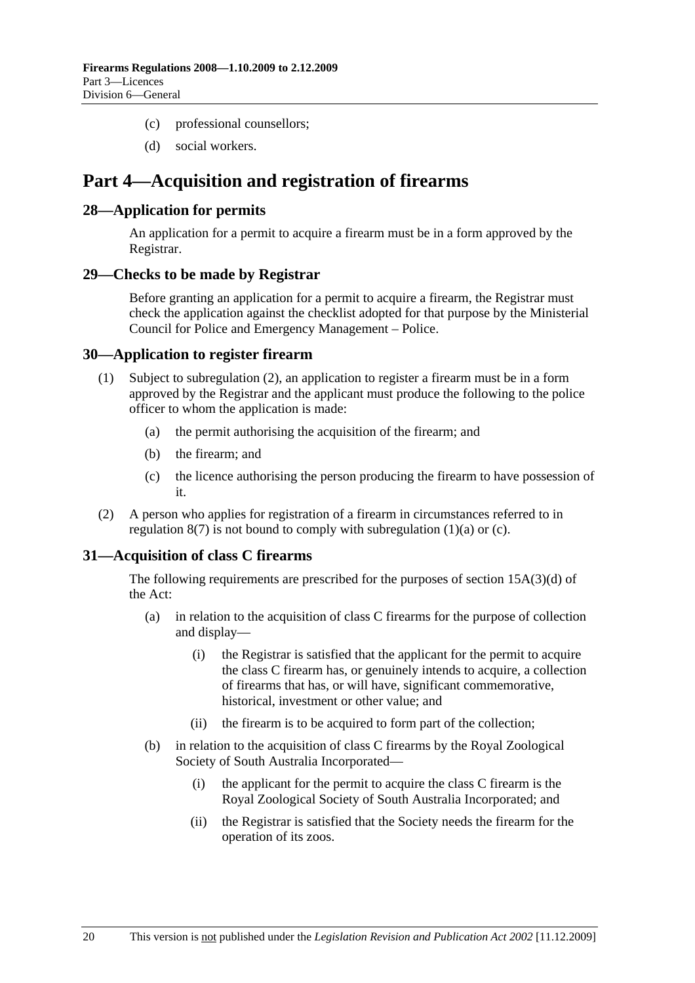- (c) professional counsellors;
- (d) social workers.

# **Part 4—Acquisition and registration of firearms**

#### **28—Application for permits**

An application for a permit to acquire a firearm must be in a form approved by the Registrar.

#### **29—Checks to be made by Registrar**

Before granting an application for a permit to acquire a firearm, the Registrar must check the application against the checklist adopted for that purpose by the Ministerial Council for Police and Emergency Management – Police.

#### **30—Application to register firearm**

- (1) Subject to subregulation (2), an application to register a firearm must be in a form approved by the Registrar and the applicant must produce the following to the police officer to whom the application is made:
	- (a) the permit authorising the acquisition of the firearm; and
	- (b) the firearm; and
	- (c) the licence authorising the person producing the firearm to have possession of it.
- (2) A person who applies for registration of a firearm in circumstances referred to in regulation  $8(7)$  is not bound to comply with subregulation  $(1)(a)$  or  $(c)$ .

## **31—Acquisition of class C firearms**

The following requirements are prescribed for the purposes of section 15A(3)(d) of the Act:

- (a) in relation to the acquisition of class C firearms for the purpose of collection and display—
	- (i) the Registrar is satisfied that the applicant for the permit to acquire the class C firearm has, or genuinely intends to acquire, a collection of firearms that has, or will have, significant commemorative, historical, investment or other value; and
	- (ii) the firearm is to be acquired to form part of the collection;
- (b) in relation to the acquisition of class C firearms by the Royal Zoological Society of South Australia Incorporated—
	- (i) the applicant for the permit to acquire the class C firearm is the Royal Zoological Society of South Australia Incorporated; and
	- (ii) the Registrar is satisfied that the Society needs the firearm for the operation of its zoos.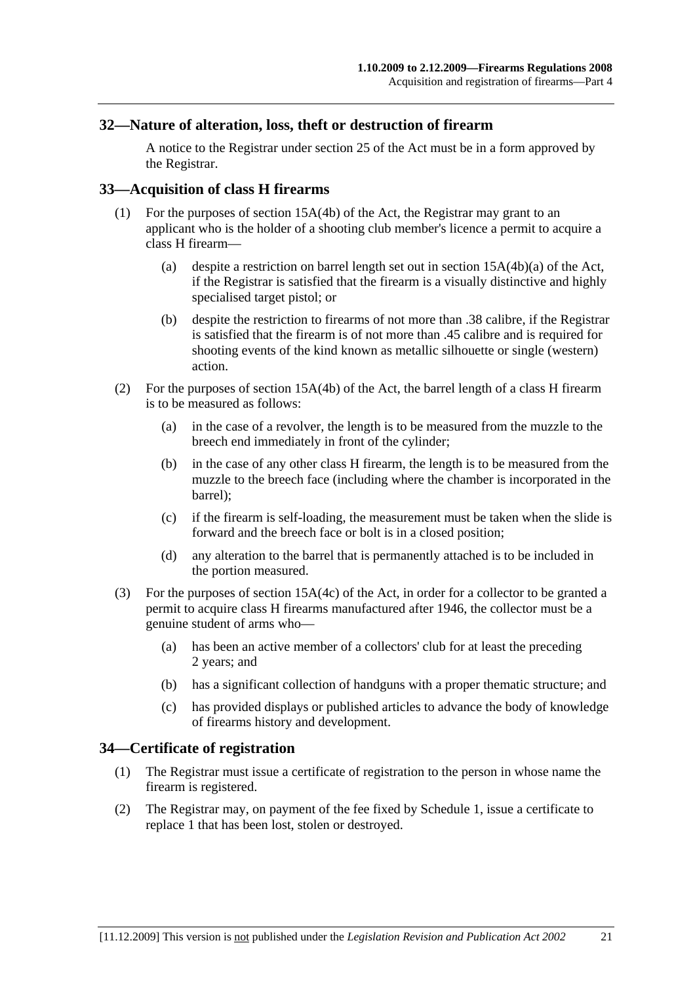### **32—Nature of alteration, loss, theft or destruction of firearm**

A notice to the Registrar under section 25 of the Act must be in a form approved by the Registrar.

### **33—Acquisition of class H firearms**

- (1) For the purposes of section 15A(4b) of the Act, the Registrar may grant to an applicant who is the holder of a shooting club member's licence a permit to acquire a class H firearm—
	- (a) despite a restriction on barrel length set out in section 15A(4b)(a) of the Act, if the Registrar is satisfied that the firearm is a visually distinctive and highly specialised target pistol; or
	- (b) despite the restriction to firearms of not more than .38 calibre, if the Registrar is satisfied that the firearm is of not more than .45 calibre and is required for shooting events of the kind known as metallic silhouette or single (western) action.
- (2) For the purposes of section 15A(4b) of the Act, the barrel length of a class H firearm is to be measured as follows:
	- (a) in the case of a revolver, the length is to be measured from the muzzle to the breech end immediately in front of the cylinder;
	- (b) in the case of any other class H firearm, the length is to be measured from the muzzle to the breech face (including where the chamber is incorporated in the barrel);
	- (c) if the firearm is self-loading, the measurement must be taken when the slide is forward and the breech face or bolt is in a closed position;
	- (d) any alteration to the barrel that is permanently attached is to be included in the portion measured.
- (3) For the purposes of section 15A(4c) of the Act, in order for a collector to be granted a permit to acquire class H firearms manufactured after 1946, the collector must be a genuine student of arms who—
	- (a) has been an active member of a collectors' club for at least the preceding 2 years; and
	- (b) has a significant collection of handguns with a proper thematic structure; and
	- (c) has provided displays or published articles to advance the body of knowledge of firearms history and development.

#### **34—Certificate of registration**

- (1) The Registrar must issue a certificate of registration to the person in whose name the firearm is registered.
- (2) The Registrar may, on payment of the fee fixed by Schedule 1, issue a certificate to replace 1 that has been lost, stolen or destroyed.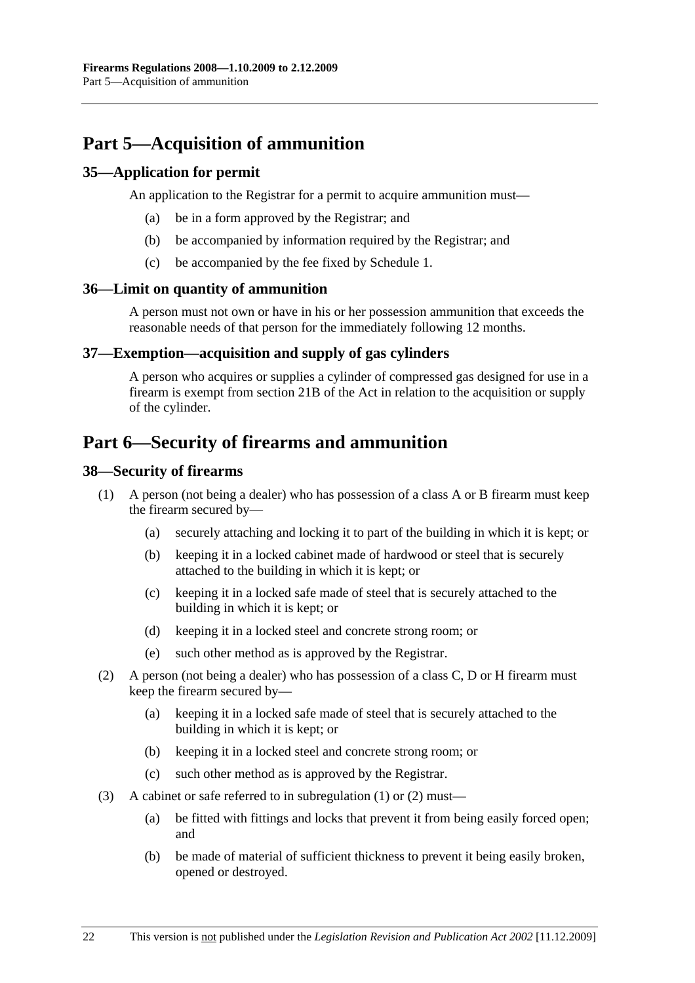# **Part 5—Acquisition of ammunition**

## **35—Application for permit**

An application to the Registrar for a permit to acquire ammunition must—

- (a) be in a form approved by the Registrar; and
- (b) be accompanied by information required by the Registrar; and
- (c) be accompanied by the fee fixed by Schedule 1.

## **36—Limit on quantity of ammunition**

A person must not own or have in his or her possession ammunition that exceeds the reasonable needs of that person for the immediately following 12 months.

## **37—Exemption—acquisition and supply of gas cylinders**

A person who acquires or supplies a cylinder of compressed gas designed for use in a firearm is exempt from section 21B of the Act in relation to the acquisition or supply of the cylinder.

# **Part 6—Security of firearms and ammunition**

## **38—Security of firearms**

- (1) A person (not being a dealer) who has possession of a class A or B firearm must keep the firearm secured by—
	- (a) securely attaching and locking it to part of the building in which it is kept; or
	- (b) keeping it in a locked cabinet made of hardwood or steel that is securely attached to the building in which it is kept; or
	- (c) keeping it in a locked safe made of steel that is securely attached to the building in which it is kept; or
	- (d) keeping it in a locked steel and concrete strong room; or
	- (e) such other method as is approved by the Registrar.
- (2) A person (not being a dealer) who has possession of a class C, D or H firearm must keep the firearm secured by—
	- (a) keeping it in a locked safe made of steel that is securely attached to the building in which it is kept; or
	- (b) keeping it in a locked steel and concrete strong room; or
	- (c) such other method as is approved by the Registrar.
- (3) A cabinet or safe referred to in subregulation (1) or (2) must—
	- (a) be fitted with fittings and locks that prevent it from being easily forced open; and
	- (b) be made of material of sufficient thickness to prevent it being easily broken, opened or destroyed.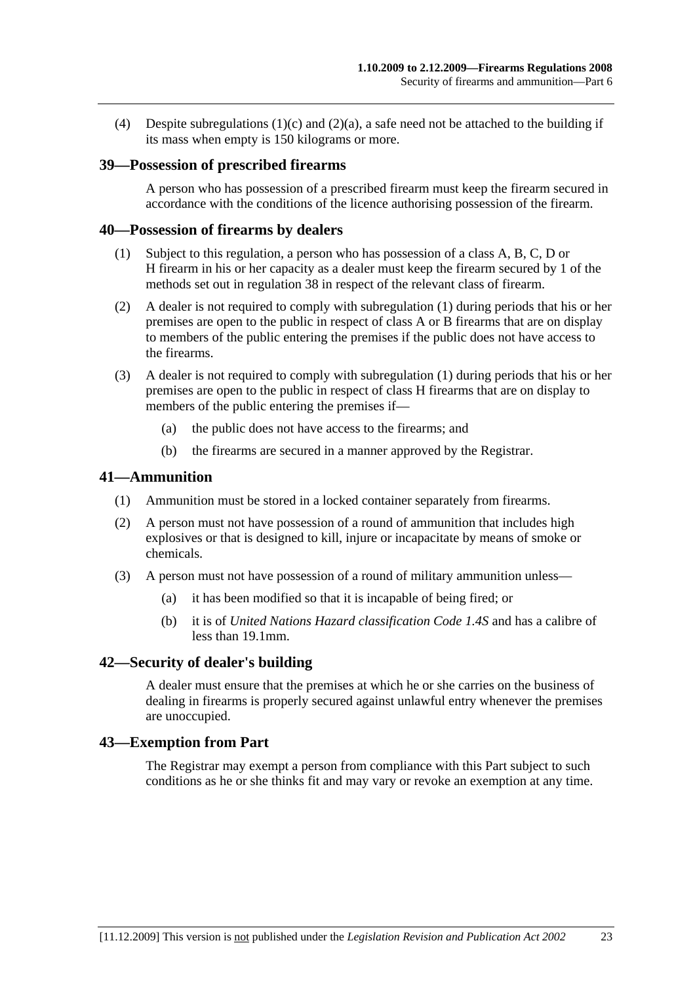(4) Despite subregulations  $(1)(c)$  and  $(2)(a)$ , a safe need not be attached to the building if its mass when empty is 150 kilograms or more.

#### **39—Possession of prescribed firearms**

A person who has possession of a prescribed firearm must keep the firearm secured in accordance with the conditions of the licence authorising possession of the firearm.

#### **40—Possession of firearms by dealers**

- (1) Subject to this regulation, a person who has possession of a class A, B, C, D or H firearm in his or her capacity as a dealer must keep the firearm secured by 1 of the methods set out in regulation 38 in respect of the relevant class of firearm.
- (2) A dealer is not required to comply with subregulation (1) during periods that his or her premises are open to the public in respect of class A or B firearms that are on display to members of the public entering the premises if the public does not have access to the firearms.
- (3) A dealer is not required to comply with subregulation (1) during periods that his or her premises are open to the public in respect of class H firearms that are on display to members of the public entering the premises if—
	- (a) the public does not have access to the firearms; and
	- (b) the firearms are secured in a manner approved by the Registrar.

#### **41—Ammunition**

- (1) Ammunition must be stored in a locked container separately from firearms.
- (2) A person must not have possession of a round of ammunition that includes high explosives or that is designed to kill, injure or incapacitate by means of smoke or chemicals.
- (3) A person must not have possession of a round of military ammunition unless—
	- (a) it has been modified so that it is incapable of being fired; or
	- (b) it is of *United Nations Hazard classification Code 1.4S* and has a calibre of less than 19.1mm.

#### **42—Security of dealer's building**

A dealer must ensure that the premises at which he or she carries on the business of dealing in firearms is properly secured against unlawful entry whenever the premises are unoccupied.

#### **43—Exemption from Part**

The Registrar may exempt a person from compliance with this Part subject to such conditions as he or she thinks fit and may vary or revoke an exemption at any time.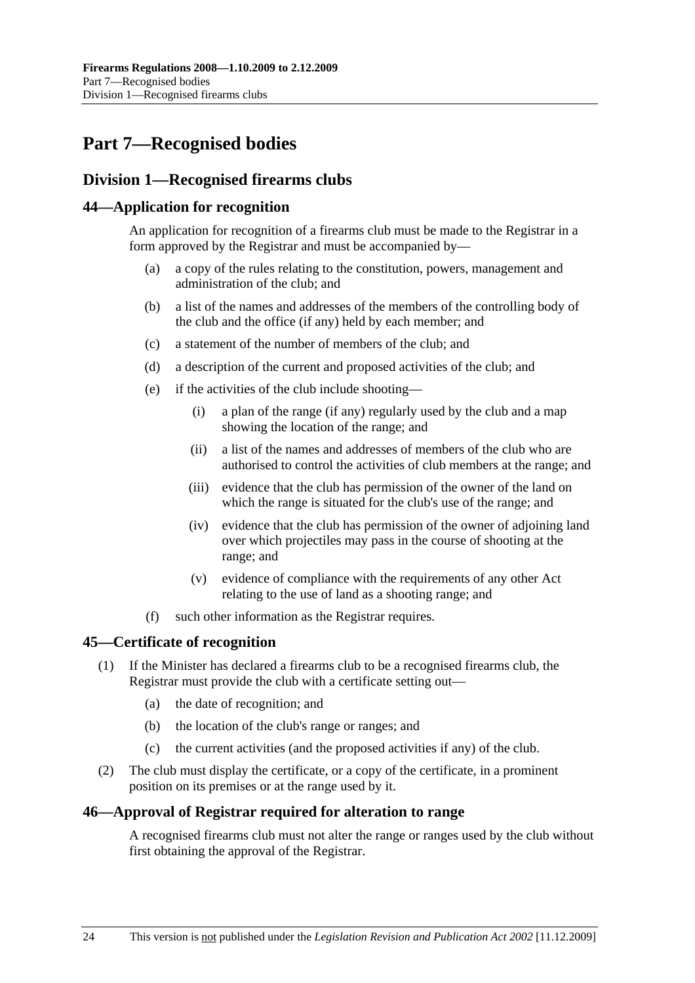# **Part 7—Recognised bodies**

## **Division 1—Recognised firearms clubs**

## **44—Application for recognition**

An application for recognition of a firearms club must be made to the Registrar in a form approved by the Registrar and must be accompanied by—

- (a) a copy of the rules relating to the constitution, powers, management and administration of the club; and
- (b) a list of the names and addresses of the members of the controlling body of the club and the office (if any) held by each member; and
- (c) a statement of the number of members of the club; and
- (d) a description of the current and proposed activities of the club; and
- (e) if the activities of the club include shooting—
	- (i) a plan of the range (if any) regularly used by the club and a map showing the location of the range; and
	- (ii) a list of the names and addresses of members of the club who are authorised to control the activities of club members at the range; and
	- (iii) evidence that the club has permission of the owner of the land on which the range is situated for the club's use of the range; and
	- (iv) evidence that the club has permission of the owner of adjoining land over which projectiles may pass in the course of shooting at the range; and
	- (v) evidence of compliance with the requirements of any other Act relating to the use of land as a shooting range; and
- (f) such other information as the Registrar requires.

## **45—Certificate of recognition**

- (1) If the Minister has declared a firearms club to be a recognised firearms club, the Registrar must provide the club with a certificate setting out—
	- (a) the date of recognition; and
	- (b) the location of the club's range or ranges; and
	- (c) the current activities (and the proposed activities if any) of the club.
- (2) The club must display the certificate, or a copy of the certificate, in a prominent position on its premises or at the range used by it.

## **46—Approval of Registrar required for alteration to range**

A recognised firearms club must not alter the range or ranges used by the club without first obtaining the approval of the Registrar.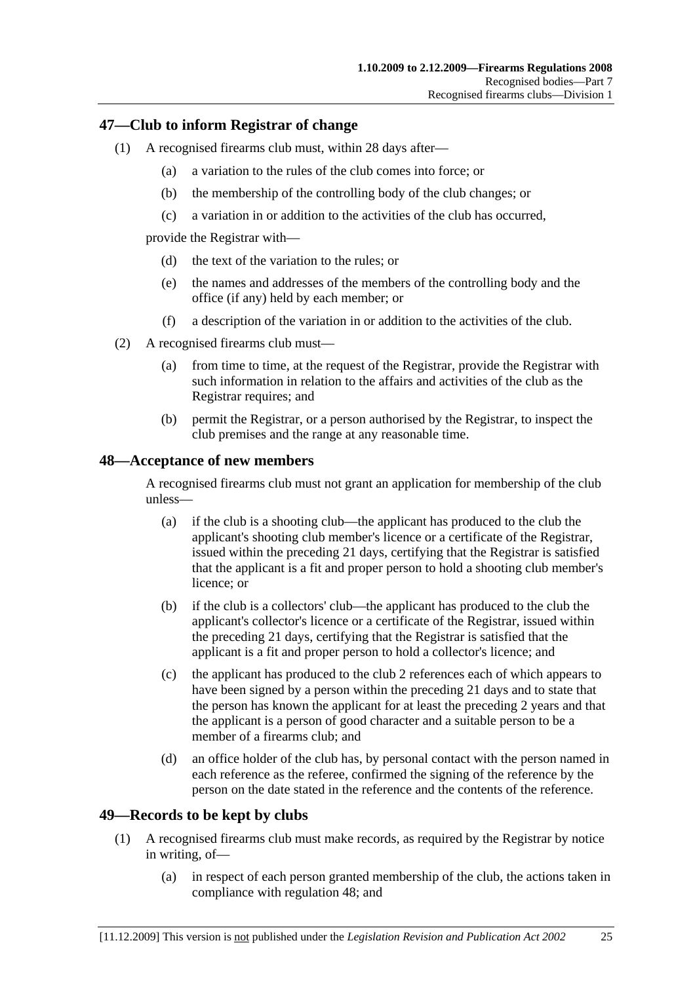### **47—Club to inform Registrar of change**

- (1) A recognised firearms club must, within 28 days after—
	- (a) a variation to the rules of the club comes into force; or
	- (b) the membership of the controlling body of the club changes; or
	- (c) a variation in or addition to the activities of the club has occurred,

provide the Registrar with—

- (d) the text of the variation to the rules; or
- (e) the names and addresses of the members of the controlling body and the office (if any) held by each member; or
- (f) a description of the variation in or addition to the activities of the club.
- (2) A recognised firearms club must—
	- (a) from time to time, at the request of the Registrar, provide the Registrar with such information in relation to the affairs and activities of the club as the Registrar requires; and
	- (b) permit the Registrar, or a person authorised by the Registrar, to inspect the club premises and the range at any reasonable time.

## **48—Acceptance of new members**

A recognised firearms club must not grant an application for membership of the club unless—

- (a) if the club is a shooting club—the applicant has produced to the club the applicant's shooting club member's licence or a certificate of the Registrar, issued within the preceding 21 days, certifying that the Registrar is satisfied that the applicant is a fit and proper person to hold a shooting club member's licence; or
- (b) if the club is a collectors' club—the applicant has produced to the club the applicant's collector's licence or a certificate of the Registrar, issued within the preceding 21 days, certifying that the Registrar is satisfied that the applicant is a fit and proper person to hold a collector's licence; and
- (c) the applicant has produced to the club 2 references each of which appears to have been signed by a person within the preceding 21 days and to state that the person has known the applicant for at least the preceding 2 years and that the applicant is a person of good character and a suitable person to be a member of a firearms club; and
- (d) an office holder of the club has, by personal contact with the person named in each reference as the referee, confirmed the signing of the reference by the person on the date stated in the reference and the contents of the reference.

## **49—Records to be kept by clubs**

- (1) A recognised firearms club must make records, as required by the Registrar by notice in writing, of—
	- (a) in respect of each person granted membership of the club, the actions taken in compliance with regulation 48; and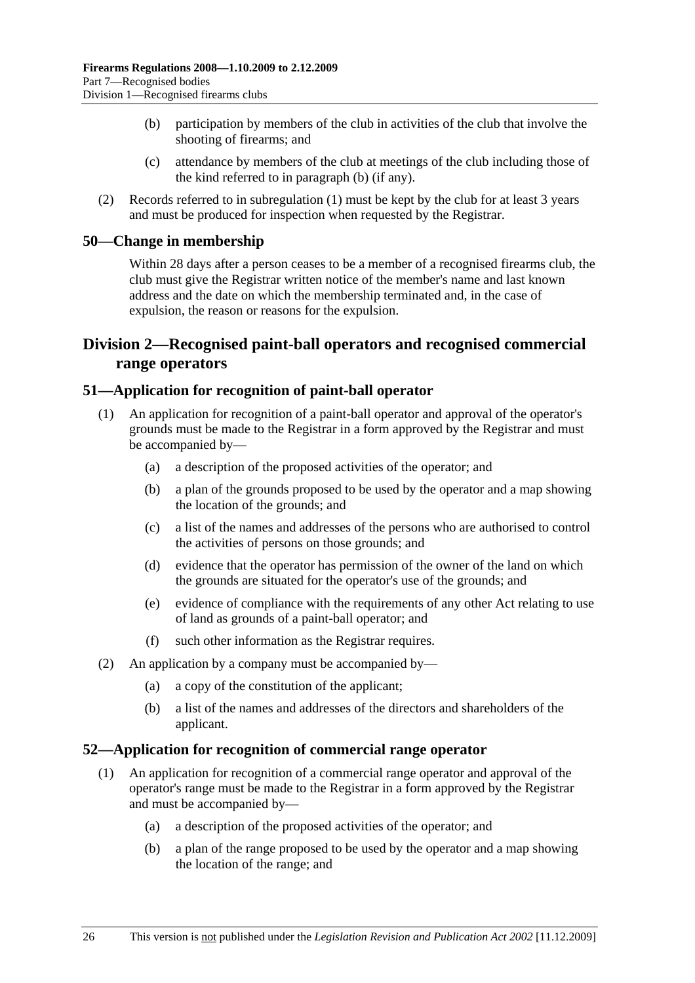- (b) participation by members of the club in activities of the club that involve the shooting of firearms; and
- (c) attendance by members of the club at meetings of the club including those of the kind referred to in paragraph (b) (if any).
- (2) Records referred to in subregulation (1) must be kept by the club for at least 3 years and must be produced for inspection when requested by the Registrar.

#### **50—Change in membership**

Within 28 days after a person ceases to be a member of a recognised firearms club, the club must give the Registrar written notice of the member's name and last known address and the date on which the membership terminated and, in the case of expulsion, the reason or reasons for the expulsion.

## **Division 2—Recognised paint-ball operators and recognised commercial range operators**

#### **51—Application for recognition of paint-ball operator**

- (1) An application for recognition of a paint-ball operator and approval of the operator's grounds must be made to the Registrar in a form approved by the Registrar and must be accompanied by—
	- (a) a description of the proposed activities of the operator; and
	- (b) a plan of the grounds proposed to be used by the operator and a map showing the location of the grounds; and
	- (c) a list of the names and addresses of the persons who are authorised to control the activities of persons on those grounds; and
	- (d) evidence that the operator has permission of the owner of the land on which the grounds are situated for the operator's use of the grounds; and
	- (e) evidence of compliance with the requirements of any other Act relating to use of land as grounds of a paint-ball operator; and
	- (f) such other information as the Registrar requires.
- (2) An application by a company must be accompanied by—
	- (a) a copy of the constitution of the applicant;
	- (b) a list of the names and addresses of the directors and shareholders of the applicant.

#### **52—Application for recognition of commercial range operator**

- (1) An application for recognition of a commercial range operator and approval of the operator's range must be made to the Registrar in a form approved by the Registrar and must be accompanied by—
	- (a) a description of the proposed activities of the operator; and
	- (b) a plan of the range proposed to be used by the operator and a map showing the location of the range; and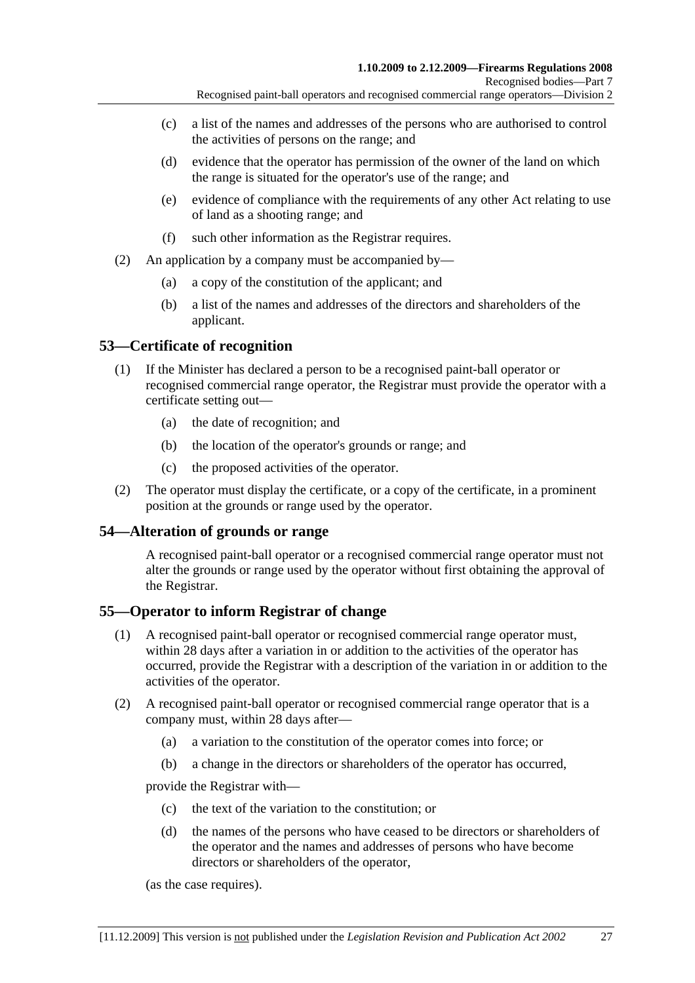- (c) a list of the names and addresses of the persons who are authorised to control the activities of persons on the range; and
- (d) evidence that the operator has permission of the owner of the land on which the range is situated for the operator's use of the range; and
- (e) evidence of compliance with the requirements of any other Act relating to use of land as a shooting range; and
- (f) such other information as the Registrar requires.
- (2) An application by a company must be accompanied by—
	- (a) a copy of the constitution of the applicant; and
	- (b) a list of the names and addresses of the directors and shareholders of the applicant.

## **53—Certificate of recognition**

- (1) If the Minister has declared a person to be a recognised paint-ball operator or recognised commercial range operator, the Registrar must provide the operator with a certificate setting out—
	- (a) the date of recognition; and
	- (b) the location of the operator's grounds or range; and
	- (c) the proposed activities of the operator.
- (2) The operator must display the certificate, or a copy of the certificate, in a prominent position at the grounds or range used by the operator.

## **54—Alteration of grounds or range**

A recognised paint-ball operator or a recognised commercial range operator must not alter the grounds or range used by the operator without first obtaining the approval of the Registrar.

## **55—Operator to inform Registrar of change**

- (1) A recognised paint-ball operator or recognised commercial range operator must, within 28 days after a variation in or addition to the activities of the operator has occurred, provide the Registrar with a description of the variation in or addition to the activities of the operator.
- (2) A recognised paint-ball operator or recognised commercial range operator that is a company must, within 28 days after—
	- (a) a variation to the constitution of the operator comes into force; or
	- (b) a change in the directors or shareholders of the operator has occurred,

provide the Registrar with—

- (c) the text of the variation to the constitution; or
- (d) the names of the persons who have ceased to be directors or shareholders of the operator and the names and addresses of persons who have become directors or shareholders of the operator,

(as the case requires).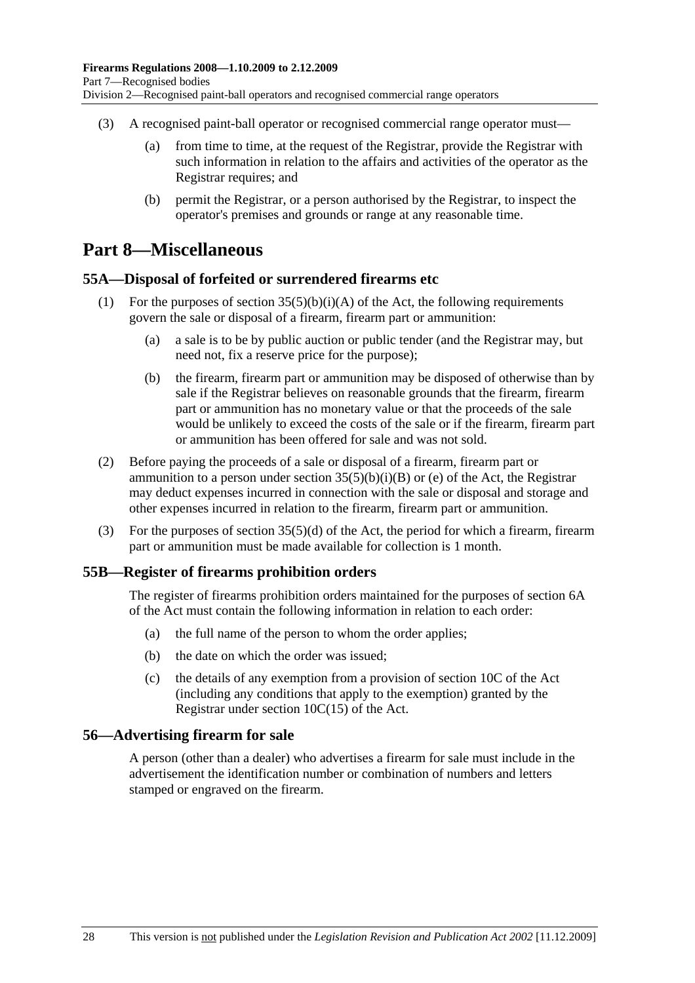- (3) A recognised paint-ball operator or recognised commercial range operator must—
	- (a) from time to time, at the request of the Registrar, provide the Registrar with such information in relation to the affairs and activities of the operator as the Registrar requires; and
	- (b) permit the Registrar, or a person authorised by the Registrar, to inspect the operator's premises and grounds or range at any reasonable time.

# **Part 8—Miscellaneous**

## **55A—Disposal of forfeited or surrendered firearms etc**

- (1) For the purposes of section  $35(5)(b)(i)(A)$  of the Act, the following requirements govern the sale or disposal of a firearm, firearm part or ammunition:
	- (a) a sale is to be by public auction or public tender (and the Registrar may, but need not, fix a reserve price for the purpose);
	- (b) the firearm, firearm part or ammunition may be disposed of otherwise than by sale if the Registrar believes on reasonable grounds that the firearm, firearm part or ammunition has no monetary value or that the proceeds of the sale would be unlikely to exceed the costs of the sale or if the firearm, firearm part or ammunition has been offered for sale and was not sold.
- (2) Before paying the proceeds of a sale or disposal of a firearm, firearm part or ammunition to a person under section  $35(5)(b)(i)(B)$  or (e) of the Act, the Registrar may deduct expenses incurred in connection with the sale or disposal and storage and other expenses incurred in relation to the firearm, firearm part or ammunition.
- (3) For the purposes of section 35(5)(d) of the Act, the period for which a firearm, firearm part or ammunition must be made available for collection is 1 month.

#### **55B—Register of firearms prohibition orders**

The register of firearms prohibition orders maintained for the purposes of section 6A of the Act must contain the following information in relation to each order:

- (a) the full name of the person to whom the order applies;
- (b) the date on which the order was issued;
- (c) the details of any exemption from a provision of section 10C of the Act (including any conditions that apply to the exemption) granted by the Registrar under section 10C(15) of the Act.

#### **56—Advertising firearm for sale**

A person (other than a dealer) who advertises a firearm for sale must include in the advertisement the identification number or combination of numbers and letters stamped or engraved on the firearm.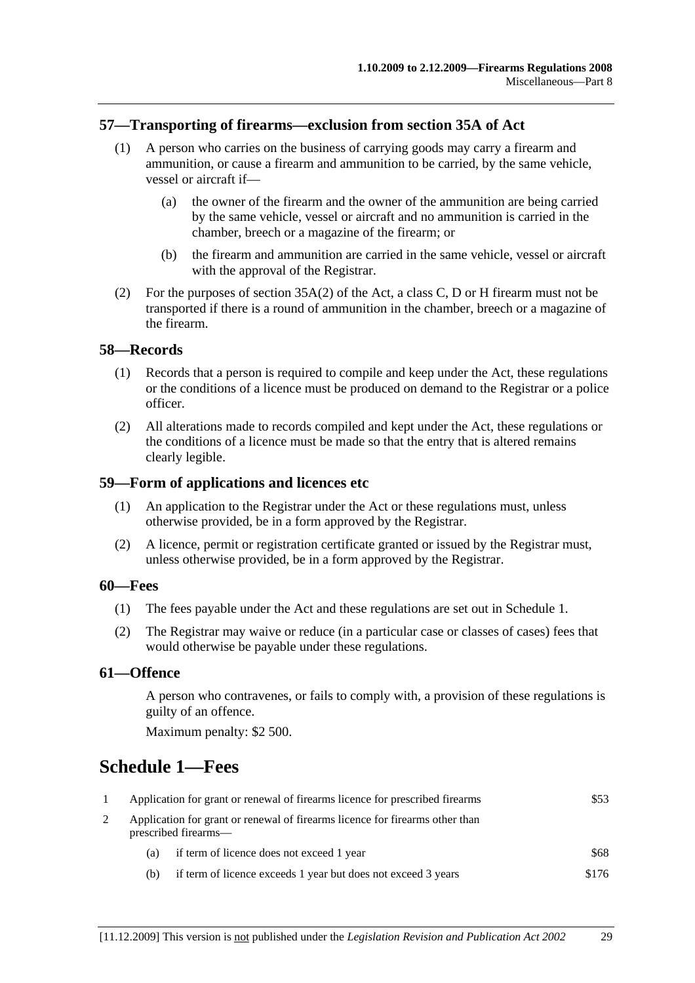### **57—Transporting of firearms—exclusion from section 35A of Act**

- (1) A person who carries on the business of carrying goods may carry a firearm and ammunition, or cause a firearm and ammunition to be carried, by the same vehicle, vessel or aircraft if—
	- (a) the owner of the firearm and the owner of the ammunition are being carried by the same vehicle, vessel or aircraft and no ammunition is carried in the chamber, breech or a magazine of the firearm; or
	- (b) the firearm and ammunition are carried in the same vehicle, vessel or aircraft with the approval of the Registrar.
- (2) For the purposes of section 35A(2) of the Act, a class C, D or H firearm must not be transported if there is a round of ammunition in the chamber, breech or a magazine of the firearm.

#### **58—Records**

- (1) Records that a person is required to compile and keep under the Act, these regulations or the conditions of a licence must be produced on demand to the Registrar or a police officer.
- (2) All alterations made to records compiled and kept under the Act, these regulations or the conditions of a licence must be made so that the entry that is altered remains clearly legible.

#### **59—Form of applications and licences etc**

- (1) An application to the Registrar under the Act or these regulations must, unless otherwise provided, be in a form approved by the Registrar.
- (2) A licence, permit or registration certificate granted or issued by the Registrar must, unless otherwise provided, be in a form approved by the Registrar.

#### **60—Fees**

- (1) The fees payable under the Act and these regulations are set out in Schedule 1.
- (2) The Registrar may waive or reduce (in a particular case or classes of cases) fees that would otherwise be payable under these regulations.

#### **61—Offence**

A person who contravenes, or fails to comply with, a provision of these regulations is guilty of an offence.

Maximum penalty: \$2 500.

# **Schedule 1—Fees**

| Application for grant or renewal of firearms licence for prescribed firearms                         |                                                               | \$53  |
|------------------------------------------------------------------------------------------------------|---------------------------------------------------------------|-------|
| Application for grant or renewal of firearms licence for firearms other than<br>prescribed firearms— |                                                               |       |
| (a)                                                                                                  | if term of licence does not exceed 1 year                     | \$68  |
| (b)                                                                                                  | if term of licence exceeds 1 year but does not exceed 3 years | \$176 |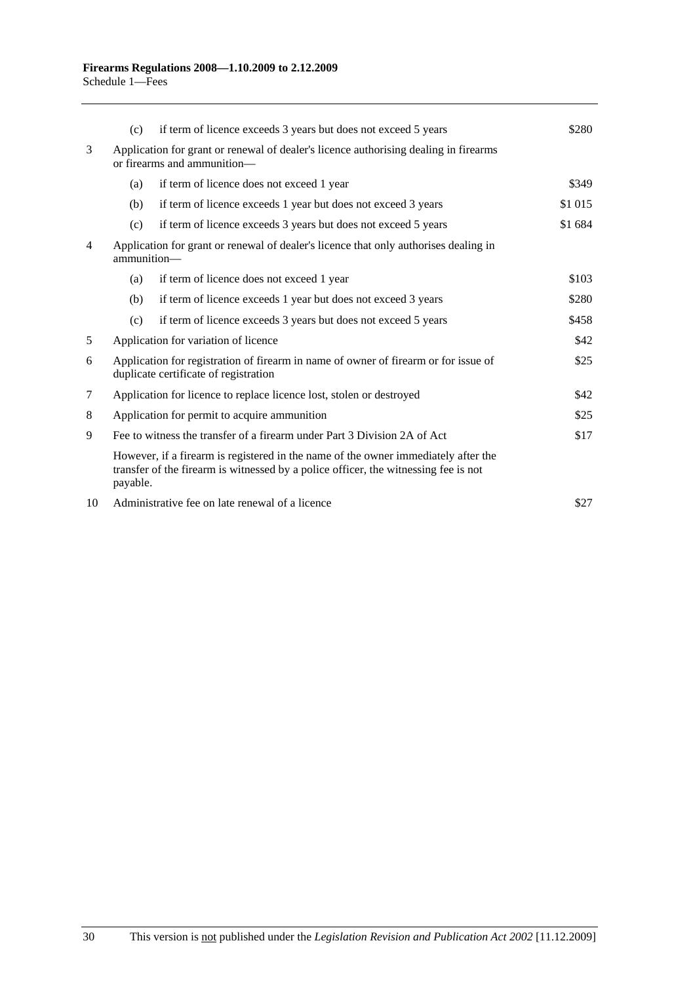|    | (c)                                                                                                                                  | if term of licence exceeds 3 years but does not exceed 5 years                                                                                                            | \$280   |
|----|--------------------------------------------------------------------------------------------------------------------------------------|---------------------------------------------------------------------------------------------------------------------------------------------------------------------------|---------|
| 3  | Application for grant or renewal of dealer's licence authorising dealing in firearms<br>or firearms and ammunition-                  |                                                                                                                                                                           |         |
|    | (a)                                                                                                                                  | if term of licence does not exceed 1 year                                                                                                                                 | \$349   |
|    | (b)                                                                                                                                  | if term of licence exceeds 1 year but does not exceed 3 years                                                                                                             | \$1 015 |
|    | (c)                                                                                                                                  | if term of licence exceeds 3 years but does not exceed 5 years                                                                                                            | \$1 684 |
| 4  | Application for grant or renewal of dealer's licence that only authorises dealing in<br>ammunition-                                  |                                                                                                                                                                           |         |
|    | (a)                                                                                                                                  | if term of licence does not exceed 1 year                                                                                                                                 | \$103   |
|    | (b)                                                                                                                                  | if term of licence exceeds 1 year but does not exceed 3 years                                                                                                             | \$280   |
|    | (c)                                                                                                                                  | if term of licence exceeds 3 years but does not exceed 5 years                                                                                                            | \$458   |
| 5  |                                                                                                                                      | Application for variation of licence                                                                                                                                      | \$42    |
| 6  | Application for registration of firearm in name of owner of firearm or for issue of<br>\$25<br>duplicate certificate of registration |                                                                                                                                                                           |         |
| 7  | Application for licence to replace licence lost, stolen or destroyed                                                                 |                                                                                                                                                                           | \$42    |
| 8  | Application for permit to acquire ammunition                                                                                         |                                                                                                                                                                           | \$25    |
| 9  | Fee to witness the transfer of a firearm under Part 3 Division 2A of Act                                                             |                                                                                                                                                                           | \$17    |
|    | payable.                                                                                                                             | However, if a firearm is registered in the name of the owner immediately after the<br>transfer of the firearm is witnessed by a police officer, the witnessing fee is not |         |
| 10 | Administrative fee on late renewal of a licence                                                                                      |                                                                                                                                                                           | \$27    |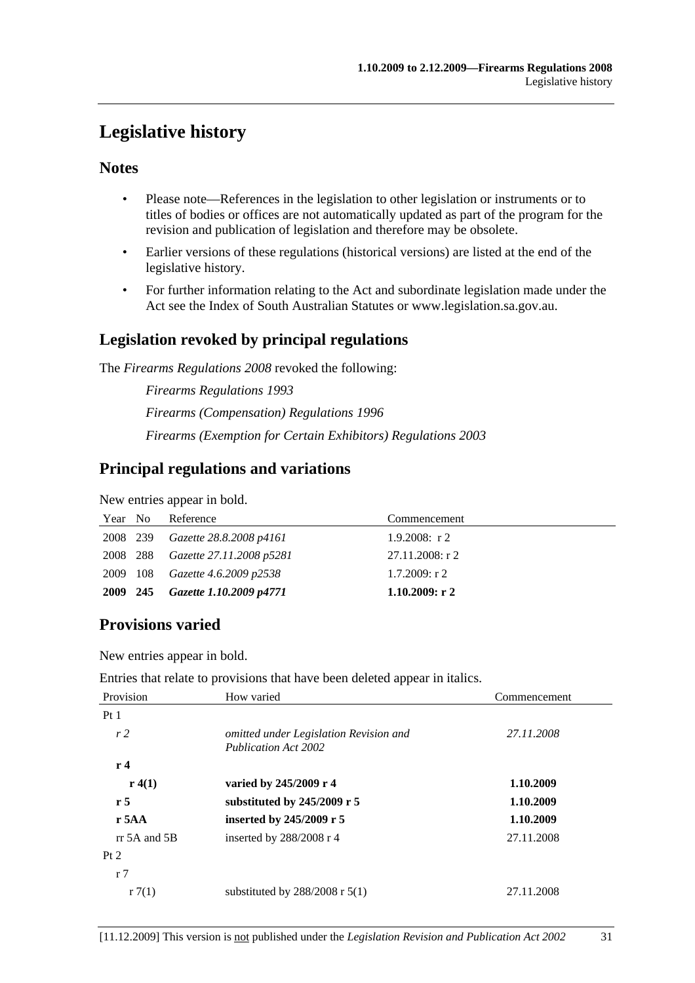# **Legislative history**

## **Notes**

- Please note—References in the legislation to other legislation or instruments or to titles of bodies or offices are not automatically updated as part of the program for the revision and publication of legislation and therefore may be obsolete.
- Earlier versions of these regulations (historical versions) are listed at the end of the legislative history.
- For further information relating to the Act and subordinate legislation made under the Act see the Index of South Australian Statutes or www.legislation.sa.gov.au.

## **Legislation revoked by principal regulations**

The *Firearms Regulations 2008* revoked the following:

*Firearms Regulations 1993 Firearms (Compensation) Regulations 1996 Firearms (Exemption for Certain Exhibitors) Regulations 2003*

# **Principal regulations and variations**

New entries appear in bold.

| Year No  | Reference                                | Commencement     |
|----------|------------------------------------------|------------------|
| 2008 239 | Gazette 28.8.2008 p4161                  | $1.9.2008$ : r 2 |
|          | 2008 288 <i>Gazette 27.11.2008 p5281</i> | 27.11.2008: r 2  |
|          | 2009 108 <i>Gazette 4.6.2009 p2538</i>   | $1.7.2009$ : r 2 |
| 2009 245 | Gazette 1.10.2009 p4771                  | 1.10.2009: r2    |

# **Provisions varied**

New entries appear in bold.

Entries that relate to provisions that have been deleted appear in italics.

| Provision       | How varied                                                            | Commencement |  |
|-----------------|-----------------------------------------------------------------------|--------------|--|
| Pt <sub>1</sub> |                                                                       |              |  |
| r <sub>2</sub>  | omitted under Legislation Revision and<br><b>Publication Act 2002</b> | 27.11.2008   |  |
| r <sub>4</sub>  |                                                                       |              |  |
| r(4(1))         | varied by 245/2009 r 4                                                | 1.10.2009    |  |
| r <sub>5</sub>  | substituted by $245/2009$ r 5                                         | 1.10.2009    |  |
| $r$ 5AA         | inserted by 245/2009 r 5                                              | 1.10.2009    |  |
| $rr$ 5A and 5B  | inserted by $288/2008$ r 4                                            | 27.11.2008   |  |
| Pt 2            |                                                                       |              |  |
| r <sub>7</sub>  |                                                                       |              |  |
| r7(1)           | substituted by $288/2008$ r $5(1)$                                    | 27.11.2008   |  |